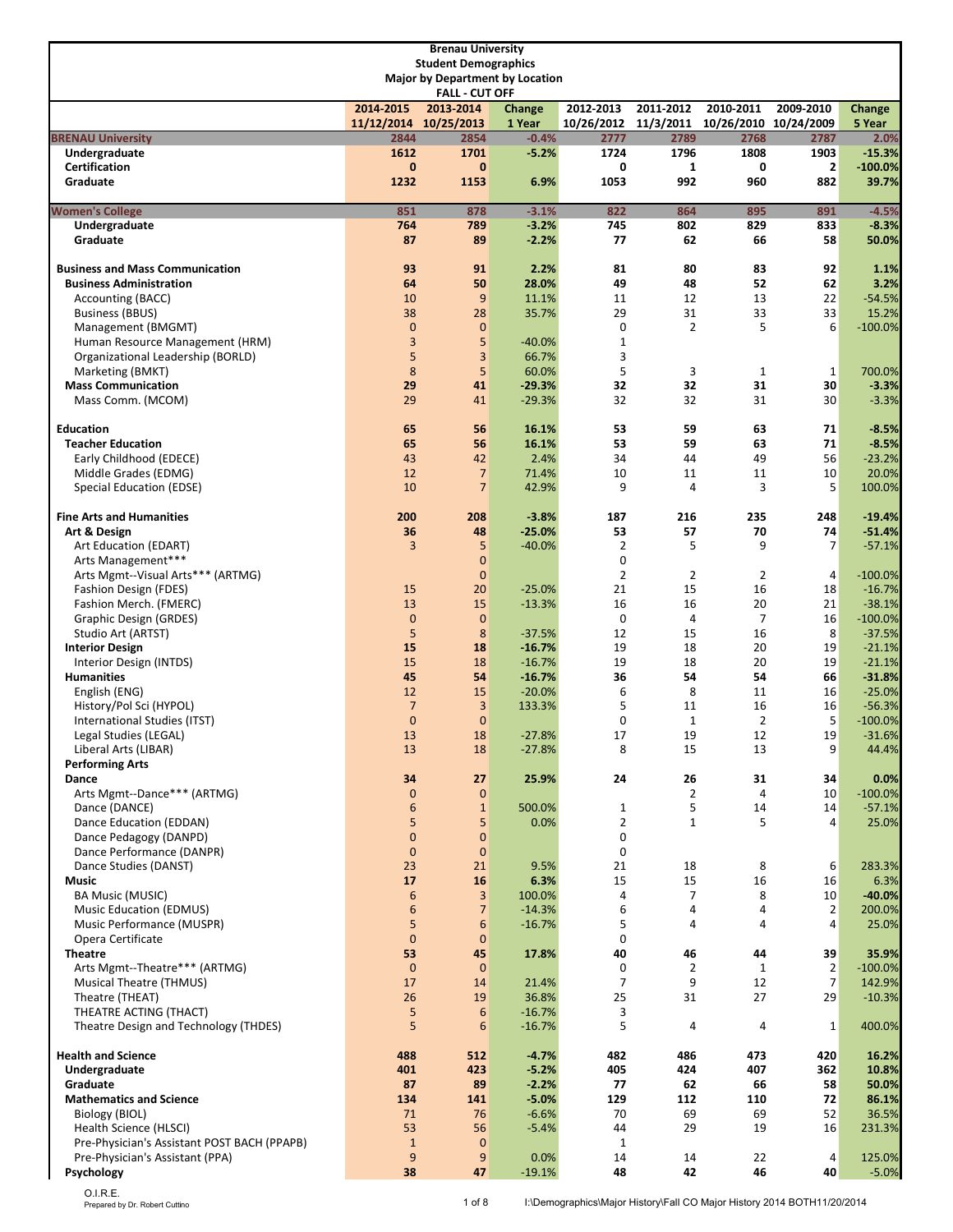|                                                             |                       | <b>Brenau University</b>                                              |                      |                     |                |                                            |                      |                      |
|-------------------------------------------------------------|-----------------------|-----------------------------------------------------------------------|----------------------|---------------------|----------------|--------------------------------------------|----------------------|----------------------|
|                                                             |                       | <b>Student Demographics</b><br><b>Major by Department by Location</b> |                      |                     |                |                                            |                      |                      |
|                                                             |                       | <b>FALL - CUT OFF</b>                                                 |                      |                     |                |                                            |                      |                      |
|                                                             | 2014-2015             | 2013-2014                                                             | Change               | 2012-2013           | 2011-2012      | 2010-2011                                  | 2009-2010            | Change               |
|                                                             | 11/12/2014 10/25/2013 |                                                                       | 1 Year               |                     |                | 10/26/2012 11/3/2011 10/26/2010 10/24/2009 |                      | 5 Year               |
| <b>BRENAU University</b><br>Undergraduate                   | 2844<br>1612          | 2854<br>1701                                                          | $-0.4%$<br>$-5.2%$   | 2777<br>1724        | 2789<br>1796   | 2768<br>1808                               | 2787<br>1903         | 2.0%<br>$-15.3%$     |
| Certification                                               | $\mathbf{0}$          | $\mathbf{0}$                                                          |                      | 0                   | 1              | 0                                          | $\mathbf{2}$         | $-100.0%$            |
| Graduate                                                    | 1232                  | 1153                                                                  | 6.9%                 | 1053                | 992            | 960                                        | 882                  | 39.7%                |
| <b>Women's College</b>                                      | 851                   | 878                                                                   | $-3.1%$              | 822                 | 864            | 895                                        | 891                  | $-4.5%$              |
| Undergraduate<br>Graduate                                   | 764<br>87             | 789<br>89                                                             | $-3.2%$<br>$-2.2%$   | 745<br>77           | 802<br>62      | 829<br>66                                  | 833<br>58            | $-8.3%$<br>50.0%     |
| <b>Business and Mass Communication</b>                      | 93                    | 91                                                                    | 2.2%                 | 81                  | 80             | 83                                         | 92                   | 1.1%                 |
| <b>Business Administration</b>                              | 64                    | 50                                                                    | 28.0%                | 49                  | 48             | 52                                         | 62                   | 3.2%                 |
| Accounting (BACC)                                           | 10                    | 9                                                                     | 11.1%                | 11                  | 12             | 13                                         | 22                   | $-54.5%$             |
| <b>Business (BBUS)</b>                                      | 38                    | 28                                                                    | 35.7%                | 29                  | 31             | 33                                         | 33                   | 15.2%                |
| Management (BMGMT)<br>Human Resource Management (HRM)       | $\mathbf{0}$<br>3     | $\pmb{0}$<br>5                                                        | $-40.0%$             | 0<br>$\mathbf{1}$   | $\overline{2}$ | 5                                          | 6                    | $-100.0%$            |
| Organizational Leadership (BORLD)                           | 5                     | 3                                                                     | 66.7%                | 3                   |                |                                            |                      |                      |
| Marketing (BMKT)                                            | 8                     | 5                                                                     | 60.0%                | 5                   | 3              | $\mathbf{1}$                               | $\mathbf{1}$         | 700.0%               |
| <b>Mass Communication</b>                                   | 29                    | 41                                                                    | $-29.3%$             | 32                  | 32             | 31                                         | 30                   | $-3.3%$              |
| Mass Comm. (MCOM)                                           | 29                    | 41                                                                    | $-29.3%$             | 32                  | 32             | 31                                         | 30                   | $-3.3%$              |
| <b>Education</b>                                            | 65                    | 56                                                                    | 16.1%                | 53                  | 59             | 63                                         | 71                   | $-8.5%$              |
| <b>Teacher Education</b><br>Early Childhood (EDECE)         | 65<br>43              | 56<br>42                                                              | 16.1%<br>2.4%        | 53<br>34            | 59<br>44       | 63<br>49                                   | 71<br>56             | $-8.5%$<br>$-23.2%$  |
| Middle Grades (EDMG)                                        | 12                    | $\overline{7}$                                                        | 71.4%                | 10                  | 11             | 11                                         | 10                   | 20.0%                |
| Special Education (EDSE)                                    | 10                    | $\overline{7}$                                                        | 42.9%                | 9                   | 4              | 3                                          | 5                    | 100.0%               |
| <b>Fine Arts and Humanities</b>                             | 200                   | 208                                                                   | $-3.8%$              | 187                 | 216            | 235                                        | 248                  | $-19.4%$             |
| Art & Design                                                | 36                    | 48                                                                    | $-25.0%$             | 53                  | 57             | 70                                         | 74                   | $-51.4%$             |
| Art Education (EDART)                                       | 3                     | 5                                                                     | $-40.0%$             | $\overline{2}$      | 5              | 9                                          | 7                    | $-57.1%$             |
| Arts Management***<br>Arts Mgmt--Visual Arts*** (ARTMG)     |                       | $\mathbf 0$<br>$\mathbf{0}$                                           |                      | 0<br>$\overline{2}$ | $\overline{2}$ | $\overline{2}$                             | 4                    | $-100.0%$            |
| Fashion Design (FDES)                                       | 15                    | 20                                                                    | $-25.0%$             | 21                  | 15             | 16                                         | 18                   | $-16.7%$             |
| Fashion Merch. (FMERC)                                      | 13                    | 15                                                                    | $-13.3%$             | 16                  | 16             | 20                                         | 21                   | $-38.1%$             |
| Graphic Design (GRDES)                                      | $\mathbf{0}$          | $\mathbf{0}$                                                          |                      | 0                   | 4              | $\overline{7}$                             | 16                   | $-100.0%$            |
| Studio Art (ARTST)                                          | 5                     | 8                                                                     | $-37.5%$             | 12                  | 15             | 16                                         | 8                    | $-37.5%$             |
| <b>Interior Design</b><br>Interior Design (INTDS)           | 15<br>15              | 18<br>18                                                              | $-16.7%$<br>$-16.7%$ | 19<br>19            | 18<br>18       | 20<br>20                                   | 19<br>19             | $-21.1%$<br>$-21.1%$ |
| <b>Humanities</b>                                           | 45                    | 54                                                                    | $-16.7%$             | 36                  | 54             | 54                                         | 66                   | $-31.8%$             |
| English (ENG)                                               | 12                    | 15                                                                    | $-20.0%$             | 6                   | 8              | 11                                         | 16                   | $-25.0%$             |
| History/Pol Sci (HYPOL)                                     | $\overline{7}$        | 3                                                                     | 133.3%               | 5                   | 11             | 16                                         | 16                   | $-56.3%$             |
| International Studies (ITST)                                | $\mathbf{0}$          | $\mathbf 0$                                                           |                      | 0                   | $\mathbf{1}$   | $\overline{2}$                             | 5                    | $-100.0%$            |
| Legal Studies (LEGAL)<br>Liberal Arts (LIBAR)               | 13<br>13              | 18<br>18                                                              | $-27.8%$<br>$-27.8%$ | 17<br>8             | 19<br>15       | 12<br>13                                   | 19<br>9              | $-31.6%$<br>44.4%    |
| <b>Performing Arts</b>                                      |                       |                                                                       |                      |                     |                |                                            |                      |                      |
| Dance                                                       | 34                    | 27                                                                    | 25.9%                | 24                  | 26             | 31                                         | 34                   | 0.0%                 |
| Arts Mgmt--Dance*** (ARTMG)                                 | $\pmb{0}$             | 0                                                                     |                      |                     | 2              | 4                                          | 10                   | $-100.0%$            |
| Dance (DANCE)                                               | 6                     | $\mathbf{1}$                                                          | 500.0%               | $\mathbf{1}$        | 5              | 14                                         | 14                   | $-57.1%$             |
| Dance Education (EDDAN)<br>Dance Pedagogy (DANPD)           | 5<br>$\pmb{0}$        | 5<br>$\pmb{0}$                                                        | 0.0%                 | $\overline{2}$<br>0 | $\mathbf{1}$   | 5                                          | 4                    | 25.0%                |
| Dance Performance (DANPR)                                   | $\pmb{0}$             | $\pmb{0}$                                                             |                      | 0                   |                |                                            |                      |                      |
| Dance Studies (DANST)                                       | 23                    | 21                                                                    | 9.5%                 | 21                  | 18             | 8                                          | 6                    | 283.3%               |
| Music                                                       | 17                    | 16                                                                    | 6.3%                 | 15                  | 15             | 16                                         | 16                   | 6.3%                 |
| <b>BA Music (MUSIC)</b>                                     | 6                     | 3<br>$\overline{7}$                                                   | 100.0%               | 4<br>6              | 7              | 8                                          | 10                   | $-40.0%$<br>200.0%   |
| <b>Music Education (EDMUS)</b><br>Music Performance (MUSPR) | $\boldsymbol{6}$<br>5 | 6                                                                     | $-14.3%$<br>$-16.7%$ | 5                   | 4<br>4         | 4<br>4                                     | $\overline{2}$<br>4  | 25.0%                |
| Opera Certificate                                           | $\pmb{0}$             | $\pmb{0}$                                                             |                      | 0                   |                |                                            |                      |                      |
| <b>Theatre</b>                                              | 53                    | 45                                                                    | 17.8%                | 40                  | 46             | 44                                         | 39                   | 35.9%                |
| Arts Mgmt--Theatre*** (ARTMG)                               | $\pmb{0}$             | $\boldsymbol{0}$                                                      |                      | 0                   | 2              | $\mathbf{1}$                               | 2                    | $-100.0%$            |
| Musical Theatre (THMUS)<br>Theatre (THEAT)                  | 17<br>26              | 14<br>19                                                              | 21.4%<br>36.8%       | 7<br>25             | 9<br>31        | 12<br>27                                   | $\overline{7}$<br>29 | 142.9%<br>$-10.3%$   |
| THEATRE ACTING (THACT)                                      | 5                     | 6                                                                     | $-16.7%$             | 3                   |                |                                            |                      |                      |
| Theatre Design and Technology (THDES)                       | 5                     | 6                                                                     | $-16.7%$             | 5                   | 4              | 4                                          | $\mathbf{1}$         | 400.0%               |
| <b>Health and Science</b>                                   | 488                   | 512                                                                   | $-4.7%$              | 482                 | 486            | 473                                        | 420                  | 16.2%                |
| Undergraduate                                               | 401                   | 423                                                                   | $-5.2%$              | 405                 | 424            | 407                                        | 362                  | 10.8%                |
| Graduate                                                    | 87                    | 89                                                                    | $-2.2%$<br>$-5.0%$   | 77<br>129           | 62             | 66                                         | 58                   | 50.0%                |
| <b>Mathematics and Science</b><br>Biology (BIOL)            | 134<br>71             | 141<br>76                                                             | $-6.6%$              | 70                  | 112<br>69      | 110<br>69                                  | 72<br>52             | 86.1%<br>36.5%       |
| Health Science (HLSCI)                                      | 53                    | 56                                                                    | $-5.4%$              | 44                  | 29             | 19                                         | 16                   | 231.3%               |
| Pre-Physician's Assistant POST BACH (PPAPB)                 | $\mathbf 1$           | $\pmb{0}$                                                             |                      | $\mathbf{1}$        |                |                                            |                      |                      |
| Pre-Physician's Assistant (PPA)                             | $9\,$                 | $9\,$                                                                 | 0.0%                 | 14                  | 14             | 22                                         | 4                    | 125.0%               |
| Psychology                                                  | 38                    | 47                                                                    | $-19.1%$             | 48                  | 42             | 46                                         | 40                   | $-5.0%$              |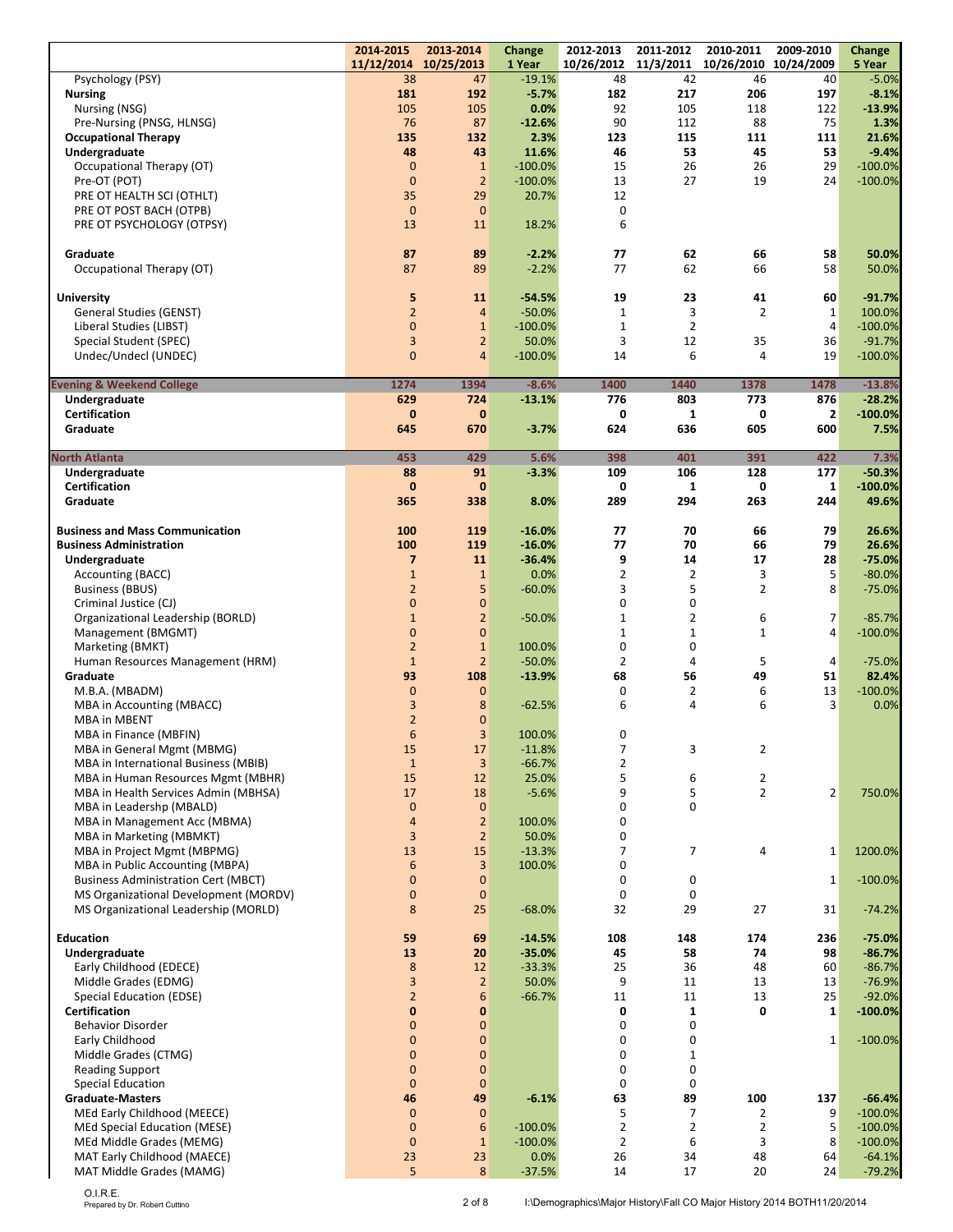|                                                                               | 2014-2015                      | 2013-2014                        | Change               | 2012-2013        | 2011-2012<br>11/3/2011     | 2010-2011<br>10/26/2010 | 2009-2010           | Change                |
|-------------------------------------------------------------------------------|--------------------------------|----------------------------------|----------------------|------------------|----------------------------|-------------------------|---------------------|-----------------------|
| Psychology (PSY)                                                              | 11/12/2014<br>38               | 10/25/2013<br>47                 | 1 Year<br>$-19.1%$   | 10/26/2012<br>48 | 42                         | 46                      | 10/24/2009<br>40    | 5 Year<br>$-5.0%$     |
| <b>Nursing</b>                                                                | 181                            | 192                              | $-5.7%$              | 182              | 217                        | 206                     | 197                 | $-8.1%$               |
| Nursing (NSG)                                                                 | 105                            | 105                              | 0.0%                 | 92               | 105                        | 118                     | 122                 | $-13.9%$              |
| Pre-Nursing (PNSG, HLNSG)                                                     | 76                             | 87                               | $-12.6%$             | 90               | 112                        | 88                      | 75                  | 1.3%                  |
| <b>Occupational Therapy</b>                                                   | 135                            | 132                              | 2.3%                 | 123              | 115                        | 111                     | 111                 | 21.6%                 |
| Undergraduate                                                                 | 48                             | 43                               | 11.6%                | 46               | 53                         | 45                      | 53                  | $-9.4%$               |
| Occupational Therapy (OT)                                                     | $\mathbf{0}$                   | $\mathbf{1}$                     | $-100.0%$            | 15               | 26                         | 26                      | 29                  | $-100.0%$             |
| Pre-OT (POT)                                                                  | $\mathbf{0}$<br>35             | $\overline{2}$<br>29             | $-100.0%$<br>20.7%   | 13<br>12         | 27                         | 19                      | 24                  | $-100.0%$             |
| PRE OT HEALTH SCI (OTHLT)<br>PRE OT POST BACH (OTPB)                          | $\mathbf{0}$                   | $\mathbf{0}$                     |                      | $\pmb{0}$        |                            |                         |                     |                       |
| PRE OT PSYCHOLOGY (OTPSY)                                                     | 13                             | 11                               | 18.2%                | 6                |                            |                         |                     |                       |
|                                                                               |                                |                                  |                      |                  |                            |                         |                     |                       |
| Graduate                                                                      | 87                             | 89                               | $-2.2%$              | 77               | 62                         | 66                      | 58                  | 50.0%                 |
| Occupational Therapy (OT)                                                     | 87                             | 89                               | $-2.2%$              | 77               | 62                         | 66                      | 58                  | 50.0%                 |
|                                                                               |                                |                                  |                      |                  |                            |                         |                     |                       |
| <b>University</b>                                                             | 5                              | 11                               | $-54.5%$             | 19               | 23                         | 41                      | 60                  | $-91.7%$              |
| <b>General Studies (GENST)</b>                                                | $\overline{2}$                 | $\overline{4}$                   | $-50.0%$             | $\mathbf{1}$     | 3                          | 2                       | $\mathbf 1$         | 100.0%                |
| Liberal Studies (LIBST)                                                       | $\overline{0}$                 | $\mathbf{1}$                     | $-100.0%$            | $\mathbf{1}$     | $\overline{2}$             |                         | $\overline{4}$      | $-100.0%$             |
| Special Student (SPEC)<br>Undec/Undecl (UNDEC)                                | 3<br>$\overline{0}$            | $\overline{2}$<br>$\overline{4}$ | 50.0%<br>$-100.0%$   | 3<br>14          | 12<br>6                    | 35<br>4                 | 36<br>19            | $-91.7%$<br>$-100.0%$ |
|                                                                               |                                |                                  |                      |                  |                            |                         |                     |                       |
| <b>Evening &amp; Weekend College</b>                                          | 1274                           | 1394                             | $-8.6%$              | 1400             | 1440                       | 1378                    | 1478                | $-13.8%$              |
| Undergraduate                                                                 | 629                            | 724                              | $-13.1%$             | 776              | 803                        | 773                     | 876                 | $-28.2%$              |
| Certification                                                                 | $\bf{0}$                       | $\bf{0}$                         |                      | 0                | 1                          | 0                       | $\mathbf{2}$        | $-100.0%$             |
| Graduate                                                                      | 645                            | 670                              | $-3.7%$              | 624              | 636                        | 605                     | 600                 | 7.5%                  |
|                                                                               |                                |                                  |                      |                  |                            |                         |                     |                       |
| North Atlanta                                                                 | 453                            | 429                              | 5.6%                 | 398              | 401                        | 391                     | 422                 | 7.3%                  |
| Undergraduate                                                                 | 88                             | 91                               | $-3.3%$              | 109              | 106                        | 128                     | 177                 | $-50.3%$<br>$-100.0%$ |
| Certification                                                                 | $\mathbf{0}$<br>365            | $\bf{0}$<br>338                  |                      | 0<br>289         | 1<br>294                   | 0<br>263                | $\mathbf{1}$<br>244 |                       |
| Graduate                                                                      |                                |                                  | 8.0%                 |                  |                            |                         |                     | 49.6%                 |
| <b>Business and Mass Communication</b>                                        | 100                            | 119                              | $-16.0%$             | 77               | 70                         | 66                      | 79                  | 26.6%                 |
| <b>Business Administration</b>                                                | 100                            | 119                              | $-16.0%$             | 77               | 70                         | 66                      | 79                  | 26.6%                 |
| Undergraduate                                                                 | $\overline{\mathbf{z}}$        | 11                               | $-36.4%$             | 9                | 14                         | 17                      | 28                  | $-75.0%$              |
| Accounting (BACC)                                                             | $\mathbf 1$                    | $\mathbf{1}$                     | 0.0%                 | $\overline{2}$   | $\overline{2}$             | 3                       | 5                   | $-80.0%$              |
| <b>Business (BBUS)</b>                                                        | $\overline{2}$                 | 5                                | $-60.0%$             | 3                | 5                          | $\overline{2}$          | 8                   | $-75.0%$              |
| Criminal Justice (CJ)                                                         | $\mathbf 0$                    | $\mathbf{0}$                     |                      | 0                | 0                          |                         |                     |                       |
| Organizational Leadership (BORLD)                                             | $\mathbf{1}$                   | $\overline{2}$                   | $-50.0%$             | $\mathbf 1$      | $\overline{2}$             | 6                       | 7                   | $-85.7%$              |
| Management (BMGMT)                                                            | $\mathbf{0}$                   | $\mathbf{0}$                     |                      | $\mathbf 1$      | $\mathbf 1$                | $\mathbf{1}$            | 4                   | $-100.0\%$            |
| Marketing (BMKT)                                                              | $\overline{2}$<br>$\mathbf{1}$ | $1\,$                            | 100.0%               | 0<br>2           | 0<br>4                     | 5                       |                     |                       |
| Human Resources Management (HRM)<br>Graduate                                  | 93                             | $\overline{2}$<br>108            | $-50.0%$<br>$-13.9%$ | 68               | 56                         | 49                      | 4<br>51             | $-75.0%$<br>82.4%     |
| M.B.A. (MBADM)                                                                | $\mathbf{0}$                   | $\mathbf{0}$                     |                      | 0                | $\overline{2}$             | 6                       | 13                  | $-100.0%$             |
| MBA in Accounting (MBACC)                                                     | 3                              | 8                                | $-62.5%$             | 6                | 4                          | 6                       | 3                   | 0.0%                  |
| <b>MBA in MBENT</b>                                                           | $\overline{2}$                 | $\mathbf{0}$                     |                      |                  |                            |                         |                     |                       |
| MBA in Finance (MBFIN)                                                        | 6                              | 3                                | 100.0%               | 0                |                            |                         |                     |                       |
| MBA in General Mgmt (MBMG)                                                    | 15                             | 17                               | $-11.8%$             | $\overline{7}$   | 3                          | $\overline{2}$          |                     |                       |
| MBA in International Business (MBIB)                                          | $\mathbf{1}$                   | $\overline{3}$                   | $-66.7%$             | $\overline{2}$   |                            |                         |                     |                       |
| MBA in Human Resources Mgmt (MBHR)                                            | 15                             | 12                               | 25.0%                | 5                | 6                          | 2                       |                     |                       |
| MBA in Health Services Admin (MBHSA)                                          | 17                             | 18                               | $-5.6%$              | 9                | 5                          | $\overline{2}$          | $\overline{2}$      | 750.0%                |
| MBA in Leadershp (MBALD)                                                      | $\mathbf{0}$                   | $\mathbf{0}$                     |                      | $\mathbf 0$      | $\mathbf 0$                |                         |                     |                       |
| MBA in Management Acc (MBMA)                                                  | $\overline{4}$                 | $\overline{2}$                   | 100.0%               | 0                |                            |                         |                     |                       |
| MBA in Marketing (MBMKT)                                                      | 3                              | $\overline{2}$                   | 50.0%                | 0                |                            |                         |                     |                       |
| MBA in Project Mgmt (MBPMG)                                                   | 13                             | 15                               | $-13.3%$             | 7                | $\overline{7}$             | 4                       | $1\,$               | 1200.0%               |
| MBA in Public Accounting (MBPA)<br><b>Business Administration Cert (MBCT)</b> | 6<br>$\mathbf 0$               | 3<br>$\mathbf 0$                 | 100.0%               | 0<br>0           | 0                          |                         | $\mathbf{1}$        | $-100.0%$             |
| MS Organizational Development (MORDV)                                         | $\mathbf 0$                    | $\mathbf{0}$                     |                      | 0                | $\mathbf 0$                |                         |                     |                       |
| MS Organizational Leadership (MORLD)                                          | 8                              | 25                               | $-68.0%$             | 32               | 29                         | 27                      | 31                  | $-74.2%$              |
|                                                                               |                                |                                  |                      |                  |                            |                         |                     |                       |
| <b>Education</b>                                                              | 59                             | 69                               | $-14.5%$             | 108              | 148                        | 174                     | 236                 | $-75.0%$              |
| Undergraduate                                                                 | 13                             | 20                               | $-35.0%$             | 45               | 58                         | 74                      | 98                  | $-86.7%$              |
| Early Childhood (EDECE)                                                       | $\bf 8$                        | 12                               | $-33.3%$             | 25               | 36                         | 48                      | 60                  | $-86.7%$              |
| Middle Grades (EDMG)                                                          | 3                              | $\overline{2}$                   | 50.0%                | 9                | 11                         | 13                      | 13                  | $-76.9%$              |
| Special Education (EDSE)                                                      | $\overline{2}$                 | $6\phantom{1}6$                  | $-66.7%$             | 11               | 11                         | 13                      | 25                  | $-92.0%$              |
| Certification                                                                 | $\mathbf 0$                    | $\bf{0}$                         |                      | 0                | $\mathbf{1}$               | 0                       | $\mathbf{1}$        | $-100.0%$             |
| <b>Behavior Disorder</b>                                                      | $\mathbf 0$<br>$\mathbf 0$     | $\mathbf{0}$<br>$\pmb{0}$        |                      | 0<br>0           | $\mathbf 0$<br>$\mathbf 0$ |                         | $1\,$               |                       |
| Early Childhood<br>Middle Grades (CTMG)                                       | $\overline{0}$                 | $\mathbf{0}$                     |                      | 0                | $\mathbf{1}$               |                         |                     | $-100.0%$             |
| <b>Reading Support</b>                                                        | $\mathbf 0$                    | $\mathbf{0}$                     |                      | 0                | $\mathbf 0$                |                         |                     |                       |
| Special Education                                                             | $\mathbf{0}$                   | $\mathbf{0}$                     |                      | 0                | 0                          |                         |                     |                       |
| <b>Graduate-Masters</b>                                                       | 46                             | 49                               | $-6.1%$              | 63               | 89                         | 100                     | 137                 | $-66.4%$              |
| MEd Early Childhood (MEECE)                                                   | $\mathbf{0}$                   | $\mathbf 0$                      |                      | 5                | $\overline{7}$             | 2                       | 9                   | $-100.0%$             |
| <b>MEd Special Education (MESE)</b>                                           | $\mathbf{0}$                   | $6\phantom{1}6$                  | $-100.0%$            | $\overline{2}$   | $\overline{2}$             | $\overline{2}$          | 5                   | $-100.0%$             |
| MEd Middle Grades (MEMG)                                                      | $\mathbf{0}$                   | $\mathbf{1}$                     | $-100.0%$            | $\overline{2}$   | 6                          | 3                       | 8                   | $-100.0%$             |
| MAT Early Childhood (MAECE)                                                   | 23                             | 23                               | 0.0%                 | 26               | 34                         | 48                      | 64                  | $-64.1%$              |
| MAT Middle Grades (MAMG)                                                      | 5                              | 8                                | $-37.5%$             | 14               | 17                         | 20                      | 24                  | $-79.2%$              |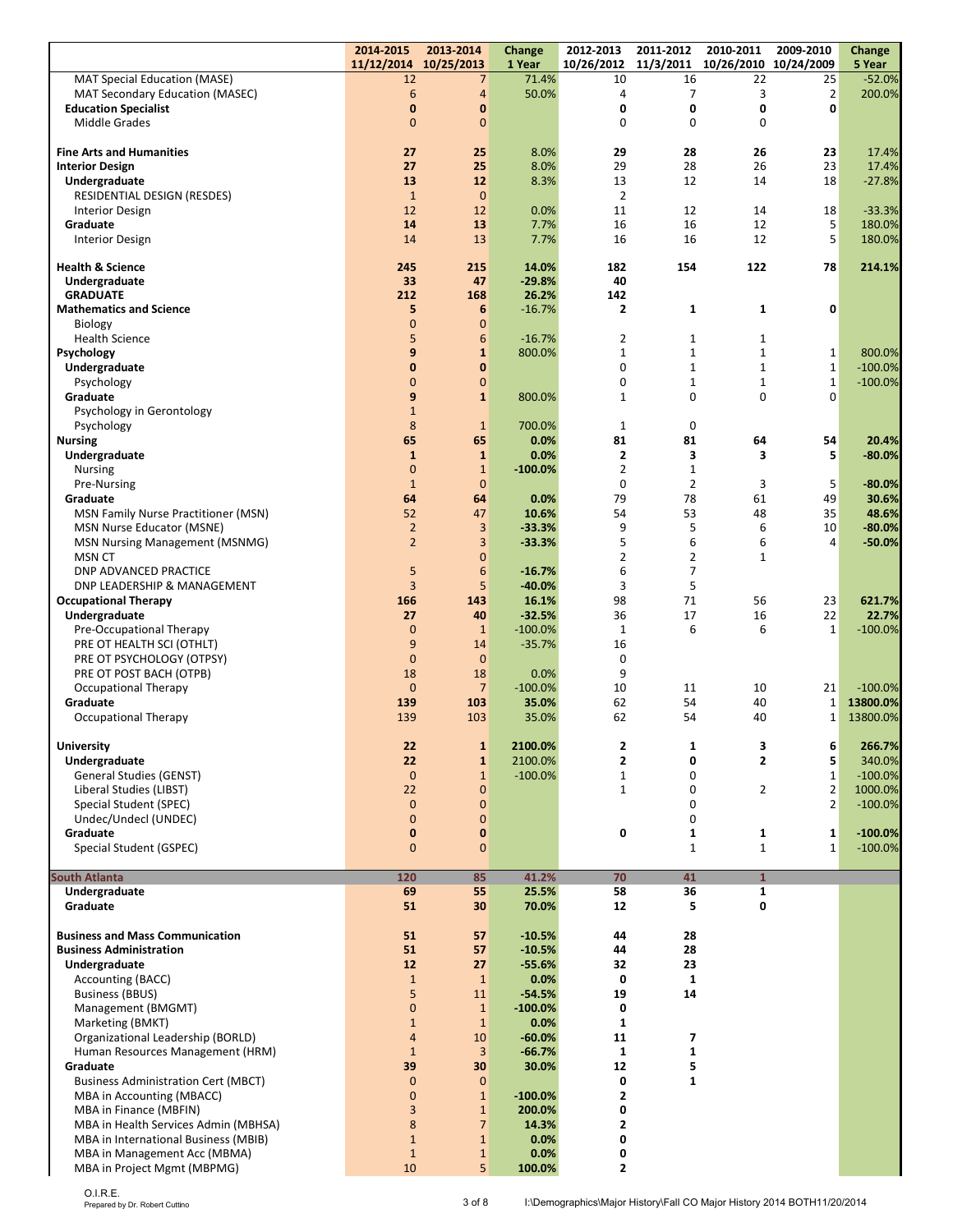|                                                                    | 2014-2015<br>11/12/2014          | 2013-2014<br>10/25/2013      | Change<br>1 Year      | 2012-2013<br>10/26/2012      | 2011-2012<br>11/3/2011       | 2010-2011<br>10/26/2010 10/24/2009 | 2009-2010                    | <b>Change</b><br>5 Year |
|--------------------------------------------------------------------|----------------------------------|------------------------------|-----------------------|------------------------------|------------------------------|------------------------------------|------------------------------|-------------------------|
| <b>MAT Special Education (MASE)</b>                                | 12                               | 7                            | 71.4%                 | 10                           | 16                           | 22                                 | 25                           | $-52.0%$                |
| MAT Secondary Education (MASEC)                                    | 6                                | $\overline{4}$               | 50.0%                 | 4                            | 7                            | 3                                  | $\mathbf 2$                  | 200.0%                  |
| <b>Education Specialist</b>                                        | $\bf{0}$                         | $\bf{0}$                     |                       | 0                            | 0                            | 0                                  | 0                            |                         |
| <b>Middle Grades</b>                                               | $\overline{0}$                   | $\overline{0}$               |                       | $\mathbf 0$                  | 0                            | 0                                  |                              |                         |
| <b>Fine Arts and Humanities</b>                                    | 27                               | 25                           | 8.0%                  | 29                           | 28                           | 26                                 | 23                           | 17.4%                   |
| <b>Interior Design</b>                                             | 27                               | 25                           | 8.0%                  | 29                           | 28                           | 26                                 | 23                           | 17.4%                   |
| Undergraduate                                                      | 13                               | 12                           | 8.3%                  | 13                           | 12                           | 14                                 | 18                           | $-27.8%$                |
| RESIDENTIAL DESIGN (RESDES)                                        | $\mathbf{1}$<br>12               | $\mathbf{0}$<br>12           | 0.0%                  | $\overline{2}$<br>11         | 12                           | 14                                 | 18                           | $-33.3%$                |
| <b>Interior Design</b><br>Graduate                                 | 14                               | 13                           | 7.7%                  | 16                           | 16                           | 12                                 | 5                            | 180.0%                  |
| <b>Interior Design</b>                                             | 14                               | 13                           | 7.7%                  | 16                           | 16                           | 12                                 | 5                            | 180.0%                  |
| <b>Health &amp; Science</b>                                        | 245                              | 215                          |                       | 182                          | 154                          | 122                                | 78                           |                         |
| Undergraduate                                                      | 33                               | 47                           | 14.0%<br>$-29.8%$     | 40                           |                              |                                    |                              | 214.1%                  |
| <b>GRADUATE</b>                                                    | 212                              | 168                          | 26.2%                 | 142                          |                              |                                    |                              |                         |
| <b>Mathematics and Science</b>                                     | 5                                | $6\phantom{1}6$              | $-16.7%$              | $\overline{2}$               | $\mathbf{1}$                 | $\mathbf{1}$                       | 0                            |                         |
| Biology                                                            | $\mathbf 0$                      | $\mathbf{0}$                 |                       |                              |                              |                                    |                              |                         |
| <b>Health Science</b><br>Psychology                                | 5<br>9                           | 6<br>$\mathbf{1}$            | $-16.7%$<br>800.0%    | 2<br>1                       | $\mathbf{1}$<br>$\mathbf{1}$ | $\mathbf{1}$<br>$\mathbf{1}$       | $\mathbf{1}$                 | 800.0%                  |
| Undergraduate                                                      | $\mathbf{0}$                     | $\bf{0}$                     |                       | $\mathbf 0$                  | $\mathbf{1}$                 | $\mathbf{1}$                       | $\mathbf 1$                  | $-100.0%$               |
| Psychology                                                         | $\overline{0}$                   | $\mathbf{0}$                 |                       | $\mathbf 0$                  | $1\,$                        | $\mathbf{1}$                       | $\mathbf 1$                  | $-100.0%$               |
| Graduate                                                           | 9                                | $\mathbf{1}$                 | 800.0%                | $\mathbf 1$                  | $\mathbf 0$                  | 0                                  | 0                            |                         |
| Psychology in Gerontology                                          | $\mathbf{1}$                     |                              |                       |                              |                              |                                    |                              |                         |
| Psychology                                                         | 8<br>65                          | $\mathbf{1}$<br>65           | 700.0%<br>0.0%        | $\mathbf{1}$<br>81           | $\mathbf 0$<br>81            | 64                                 | 54                           | 20.4%                   |
| <b>Nursing</b><br>Undergraduate                                    | $\mathbf{1}$                     | $\mathbf{1}$                 | 0.0%                  | $\mathbf{2}$                 | 3                            | 3                                  | 5                            | $-80.0%$                |
| <b>Nursing</b>                                                     | $\overline{0}$                   | $\mathbf{1}$                 | $-100.0%$             | $\overline{2}$               | $\mathbf{1}$                 |                                    |                              |                         |
| Pre-Nursing                                                        | $\mathbf{1}$                     | $\mathbf{0}$                 |                       | $\mathbf 0$                  | $\overline{2}$               | 3                                  | 5                            | $-80.0%$                |
| Graduate                                                           | 64                               | 64                           | 0.0%                  | 79                           | 78                           | 61                                 | 49                           | 30.6%                   |
| <b>MSN Family Nurse Practitioner (MSN)</b>                         | 52                               | 47                           | 10.6%                 | 54                           | 53                           | 48                                 | 35                           | 48.6%                   |
| MSN Nurse Educator (MSNE)<br><b>MSN Nursing Management (MSNMG)</b> | $\overline{2}$<br>$\overline{2}$ | 3<br>$\overline{3}$          | $-33.3%$<br>$-33.3%$  | 9<br>5                       | 5<br>6                       | 6<br>6                             | 10<br>4                      | $-80.0%$<br>$-50.0%$    |
| <b>MSN CT</b>                                                      |                                  | $\overline{0}$               |                       | $\overline{2}$               | $\overline{2}$               | $\mathbf{1}$                       |                              |                         |
| <b>DNP ADVANCED PRACTICE</b>                                       | 5                                | 6                            | $-16.7%$              | 6                            | $\overline{7}$               |                                    |                              |                         |
| DNP LEADERSHIP & MANAGEMENT                                        | $\overline{3}$                   | 5                            | $-40.0%$              | 3                            | 5                            |                                    |                              |                         |
| <b>Occupational Therapy</b>                                        | 166                              | 143                          | 16.1%                 | 98                           | 71                           | 56                                 | 23                           | 621.7%                  |
| Undergraduate                                                      | 27<br>$\mathbf{0}$               | 40<br>$\mathbf{1}$           | $-32.5%$              | 36<br>$\mathbf{1}$           | 17<br>6                      | 16<br>6                            | 22<br>$\mathbf{1}$           | 22.7%                   |
| Pre-Occupational Therapy<br>PRE OT HEALTH SCI (OTHLT)              | 9                                | 14                           | $-100.0%$<br>$-35.7%$ | 16                           |                              |                                    |                              | $-100.0%$               |
| PRE OT PSYCHOLOGY (OTPSY)                                          | $\mathbf{0}$                     | $\mathbf{0}$                 |                       | 0                            |                              |                                    |                              |                         |
| PRE OT POST BACH (OTPB)                                            | 18                               | 18                           | 0.0%                  | 9                            |                              |                                    |                              |                         |
| <b>Occupational Therapy</b>                                        | $\mathbf{0}$                     | $\overline{7}$               | $-100.0%$             | 10                           | 11                           | 10                                 | 21                           | $-100.0%$               |
| Graduate<br><b>Occupational Therapy</b>                            | 139<br>139                       | 103<br>103                   | 35.0%<br>35.0%        | 62<br>62                     | 54<br>54                     | 40<br>40                           | $\mathbf{1}$<br>$\mathbf{1}$ | 13800.0%<br>13800.0%    |
|                                                                    |                                  |                              |                       |                              |                              |                                    |                              |                         |
| <b>University</b>                                                  | 22                               | $\mathbf{1}$                 | 2100.0%               | 2                            | 1                            | 3                                  | 6                            | 266.7%                  |
| Undergraduate                                                      | 22                               | $\mathbf{1}$                 | 2100.0%               | $\mathbf{z}$                 | 0                            | 2                                  | 5                            | 340.0%                  |
| <b>General Studies (GENST)</b><br>Liberal Studies (LIBST)          | $\mathbf{0}$<br>22               | $\mathbf{1}$<br>$\mathbf 0$  | $-100.0%$             | 1<br>$\mathbf{1}$            | 0<br>$\mathbf 0$             | 2                                  | $\mathbf{1}$<br>$\mathbf 2$  | $-100.0%$               |
| Special Student (SPEC)                                             | $\mathbf{0}$                     | $\mathbf{0}$                 |                       |                              | $\mathbf 0$                  |                                    | $\overline{2}$               | 1000.0%<br>$-100.0%$    |
| Undec/Undecl (UNDEC)                                               | $\mathbf{0}$                     | $\mathbf{0}$                 |                       |                              | $\mathbf 0$                  |                                    |                              |                         |
| Graduate                                                           | 0                                | $\pmb{0}$                    |                       | 0                            | 1                            | 1                                  | 1                            | $-100.0%$               |
| Special Student (GSPEC)                                            | $\mathbf{0}$                     | $\overline{0}$               |                       |                              | $\mathbf{1}$                 | $\mathbf{1}$                       | $\mathbf{1}$                 | $-100.0%$               |
| <b>South Atlanta</b>                                               | 120                              | 85                           | 41.2%                 | 70                           | 41                           | $\mathbf{1}$                       |                              |                         |
| Undergraduate                                                      | 69                               | 55                           | 25.5%                 | 58                           | 36                           | 1                                  |                              |                         |
| Graduate                                                           | 51                               | 30                           | 70.0%                 | 12                           | 5                            | 0                                  |                              |                         |
| <b>Business and Mass Communication</b>                             | 51                               | 57                           | $-10.5%$              | 44                           | 28                           |                                    |                              |                         |
| <b>Business Administration</b>                                     | 51                               | 57                           | $-10.5%$              | 44                           | 28                           |                                    |                              |                         |
| Undergraduate                                                      | 12                               | 27                           | $-55.6%$              | 32                           | 23                           |                                    |                              |                         |
| Accounting (BACC)                                                  | $\mathbf{1}$                     | $\mathbf{1}$                 | 0.0%                  | 0                            | $\mathbf 1$                  |                                    |                              |                         |
| <b>Business (BBUS)</b>                                             | 5                                | 11                           | $-54.5%$              | 19                           | 14                           |                                    |                              |                         |
| Management (BMGMT)<br>Marketing (BMKT)                             | $\mathbf 0$<br>$\mathbf{1}$      | $\mathbf{1}$<br>$\mathbf{1}$ | $-100.0%$<br>0.0%     | 0<br>$\mathbf{1}$            |                              |                                    |                              |                         |
| Organizational Leadership (BORLD)                                  | $\overline{4}$                   | 10                           | $-60.0%$              | 11                           | $\overline{\mathbf{z}}$      |                                    |                              |                         |
| Human Resources Management (HRM)                                   | $\mathbf{1}$                     | $\overline{3}$               | $-66.7%$              | 1                            | $\mathbf 1$                  |                                    |                              |                         |
| Graduate                                                           | 39                               | 30                           | 30.0%                 | 12                           | 5                            |                                    |                              |                         |
| <b>Business Administration Cert (MBCT)</b>                         | $\mathbf{0}$                     | $\mathbf{0}$                 |                       | 0                            | 1                            |                                    |                              |                         |
| MBA in Accounting (MBACC)<br>MBA in Finance (MBFIN)                | $\mathbf 0$<br>3                 | $1\,$<br>$\mathbf{1}$        | $-100.0%$<br>200.0%   | $\overline{\mathbf{2}}$<br>0 |                              |                                    |                              |                         |
| MBA in Health Services Admin (MBHSA)                               | 8                                | $\overline{7}$               | 14.3%                 | 2                            |                              |                                    |                              |                         |
| MBA in International Business (MBIB)                               | $\mathbf{1}$                     | $\mathbf{1}$                 | 0.0%                  | 0                            |                              |                                    |                              |                         |
| MBA in Management Acc (MBMA)                                       | $\mathbf{1}$                     | $\mathbf{1}$                 | 0.0%                  | 0                            |                              |                                    |                              |                         |
| MBA in Project Mgmt (MBPMG)                                        | 10                               | 5 <sup>1</sup>               | 100.0%                | $\mathbf{2}$                 |                              |                                    |                              |                         |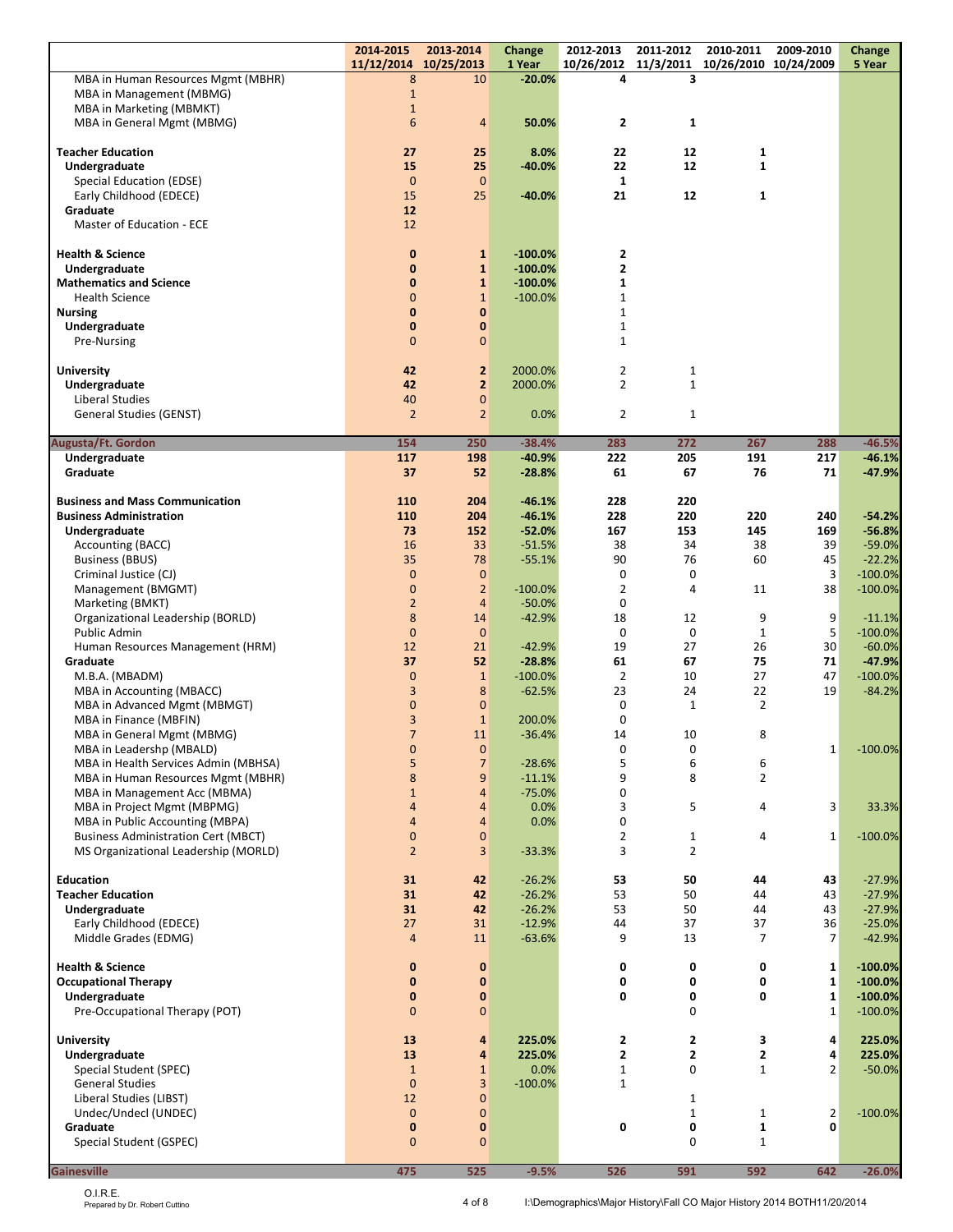|                                                             | 2014-2015<br>11/12/2014 10/25/2013 | 2013-2014                        | Change<br>1 Year       | 2012-2013                    | 2011-2012         | 2010-2011<br>10/26/2012 11/3/2011 10/26/2010 10/24/2009 | 2009-2010            | Change<br>5 Year       |
|-------------------------------------------------------------|------------------------------------|----------------------------------|------------------------|------------------------------|-------------------|---------------------------------------------------------|----------------------|------------------------|
| MBA in Human Resources Mgmt (MBHR)                          | 8                                  | 10                               | $-20.0\%$              | 4                            | 3                 |                                                         |                      |                        |
| MBA in Management (MBMG)<br><b>MBA in Marketing (MBMKT)</b> | $\mathbf{1}$<br>$1\,$              |                                  |                        |                              |                   |                                                         |                      |                        |
| MBA in General Mgmt (MBMG)                                  | $6\phantom{1}6$                    | 4                                | 50.0%                  | $\overline{\mathbf{2}}$      | 1                 |                                                         |                      |                        |
|                                                             |                                    |                                  |                        |                              |                   |                                                         |                      |                        |
| <b>Teacher Education</b><br>Undergraduate                   | 27<br>15                           | 25<br>25                         | 8.0%<br>$-40.0%$       | 22<br>22                     | 12<br>12          | 1<br>$\mathbf{1}$                                       |                      |                        |
| Special Education (EDSE)                                    | $\mathbf{0}$                       | $\mathbf{0}$                     |                        | $\mathbf 1$                  |                   |                                                         |                      |                        |
| Early Childhood (EDECE)                                     | 15                                 | 25                               | $-40.0%$               | 21                           | 12                | 1                                                       |                      |                        |
| Graduate                                                    | 12                                 |                                  |                        |                              |                   |                                                         |                      |                        |
| Master of Education - ECE                                   | 12                                 |                                  |                        |                              |                   |                                                         |                      |                        |
| <b>Health &amp; Science</b>                                 | $\bf{0}$                           | $\mathbf{1}$                     | $-100.0%$              | 2                            |                   |                                                         |                      |                        |
| Undergraduate                                               | $\mathbf{0}$                       | $\mathbf{1}$                     | $-100.0%$              | $\overline{2}$               |                   |                                                         |                      |                        |
| <b>Mathematics and Science</b><br><b>Health Science</b>     | $\mathbf 0$<br>$\overline{0}$      | $\mathbf{1}$<br>$\mathbf{1}$     | $-100.0%$<br>$-100.0%$ | $\mathbf{1}$<br>$\mathbf{1}$ |                   |                                                         |                      |                        |
| <b>Nursing</b>                                              | $\mathbf{0}$                       | 0                                |                        | $\mathbf{1}$                 |                   |                                                         |                      |                        |
| Undergraduate                                               | $\mathbf 0$                        | 0                                |                        | $\mathbf{1}$                 |                   |                                                         |                      |                        |
| Pre-Nursing                                                 | $\overline{0}$                     | $\mathbf 0$                      |                        | $\mathbf{1}$                 |                   |                                                         |                      |                        |
| <b>University</b>                                           | 42                                 | $\overline{2}$                   | 2000.0%                | $\overline{2}$               | 1                 |                                                         |                      |                        |
| Undergraduate                                               | 42                                 | $\overline{2}$                   | 2000.0%                | $\overline{2}$               | $\mathbf{1}$      |                                                         |                      |                        |
| Liberal Studies                                             | 40                                 | $\mathbf 0$                      |                        |                              |                   |                                                         |                      |                        |
| General Studies (GENST)                                     | $\overline{2}$                     | $\overline{2}$                   | 0.0%                   | $\overline{2}$               | $\mathbf{1}$      |                                                         |                      |                        |
| Augusta/Ft. Gordon                                          | 154                                | 250                              | $-38.4%$               | 283                          | 272               | 267                                                     | 288                  | $-46.5%$               |
| Undergraduate<br>Graduate                                   | 117<br>37                          | 198<br>52                        | $-40.9%$<br>$-28.8%$   | 222<br>61                    | 205<br>67         | 191<br>76                                               | 217<br>71            | $-46.1%$<br>$-47.9%$   |
|                                                             |                                    |                                  |                        |                              |                   |                                                         |                      |                        |
| <b>Business and Mass Communication</b>                      | 110                                | 204                              | $-46.1%$               | 228                          | 220               |                                                         |                      |                        |
| <b>Business Administration</b><br>Undergraduate             | 110<br>73                          | 204<br>152                       | $-46.1%$<br>$-52.0%$   | 228<br>167                   | 220<br>153        | 220<br>145                                              | 240<br>169           | $-54.2%$<br>$-56.8%$   |
| Accounting (BACC)                                           | 16                                 | 33                               | $-51.5%$               | 38                           | 34                | 38                                                      | 39                   | $-59.0%$               |
| <b>Business (BBUS)</b>                                      | 35                                 | 78                               | $-55.1%$               | 90                           | 76                | 60                                                      | 45                   | $-22.2%$               |
| Criminal Justice (CJ)                                       | $\mathbf{0}$                       | $\mathbf{0}$                     |                        | 0                            | 0                 |                                                         | 3                    | $-100.0%$              |
| Management (BMGMT)<br>Marketing (BMKT)                      | $\overline{0}$<br>$\mathbf 2$      | $\overline{2}$<br>$\overline{4}$ | $-100.0%$<br>$-50.0%$  | $\overline{2}$<br>$\bf{0}$   | 4                 | 11                                                      | 38                   | $-100.0%$              |
| Organizational Leadership (BORLD)                           | 8                                  | 14                               | $-42.9%$               | 18                           | 12                | 9                                                       | 9                    | $-11.1%$               |
| Public Admin                                                | $\mathbf{0}$                       | $\mathbf{0}$                     |                        | $\bf{0}$                     | 0                 | $\mathbf{1}$                                            | 5                    | $-100.0%$              |
| Human Resources Management (HRM)<br>Graduate                | 12<br>37                           | 21<br>52                         | $-42.9%$<br>$-28.8%$   | 19<br>61                     | 27<br>67          | 26<br>75                                                | 30<br>71             | $-60.0%$<br>$-47.9%$   |
| M.B.A. (MBADM)                                              | $\mathbf{0}$                       | $\mathbf{1}$                     | $-100.0%$              | $\overline{2}$               | 10                | 27                                                      | 47                   | $-100.0%$              |
| MBA in Accounting (MBACC)                                   | 3                                  | 8                                | $-62.5%$               | 23                           | 24                | 22                                                      | 19                   | $-84.2%$               |
| MBA in Advanced Mgmt (MBMGT)                                | $\mathbf{0}$                       | $\mathbf{0}$                     |                        | 0                            | $\mathbf{1}$      | 2                                                       |                      |                        |
| MBA in Finance (MBFIN)<br>MBA in General Mgmt (MBMG)        | 3<br>$\overline{7}$                | $\mathbf{1}$<br>11               | 200.0%<br>$-36.4%$     | $\mathbf 0$<br>14            | 10                | 8                                                       |                      |                        |
| MBA in Leadershp (MBALD)                                    | $\mathbf 0$                        | 0                                |                        | 0                            | 0                 |                                                         | $\mathbf{1}$         | $-100.0\%$             |
| MBA in Health Services Admin (MBHSA)                        | 5                                  | $\overline{7}$                   | $-28.6%$               | 5                            | 6                 | 6                                                       |                      |                        |
| MBA in Human Resources Mgmt (MBHR)                          | 8                                  | 9                                | $-11.1%$               | 9                            | 8                 | $\overline{2}$                                          |                      |                        |
| MBA in Management Acc (MBMA)<br>MBA in Project Mgmt (MBPMG) | $\mathbf{1}$<br>$\overline{4}$     | $\overline{4}$<br>$\overline{4}$ | $-75.0%$<br>0.0%       | 0<br>3                       | 5                 | 4                                                       | 3                    | 33.3%                  |
| MBA in Public Accounting (MBPA)                             | $\overline{4}$                     | $\overline{4}$                   | 0.0%                   | $\mathbf 0$                  |                   |                                                         |                      |                        |
| <b>Business Administration Cert (MBCT)</b>                  | $\overline{0}$                     | $\mathbf 0$                      |                        | $\overline{2}$               | 1                 | 4                                                       | $\mathbf{1}$         | $-100.0%$              |
| MS Organizational Leadership (MORLD)                        | $\overline{2}$                     | 3                                | $-33.3%$               | 3                            | $\overline{2}$    |                                                         |                      |                        |
| <b>Education</b>                                            | 31                                 | 42                               | $-26.2%$               | 53                           | 50                | 44                                                      | 43                   | $-27.9%$               |
| <b>Teacher Education</b>                                    | 31                                 | 42                               | $-26.2%$               | 53                           | 50                | 44                                                      | 43                   | $-27.9%$               |
| Undergraduate                                               | 31                                 | 42                               | $-26.2%$               | 53                           | 50                | 44                                                      | 43                   | $-27.9%$               |
| Early Childhood (EDECE)<br>Middle Grades (EDMG)             | 27<br>$\overline{4}$               | 31<br>11                         | $-12.9%$<br>$-63.6%$   | 44<br>9                      | 37<br>13          | 37<br>7                                                 | 36<br>$\overline{7}$ | $-25.0%$<br>$-42.9%$   |
|                                                             |                                    |                                  |                        |                              |                   |                                                         |                      |                        |
| <b>Health &amp; Science</b>                                 | $\bf{0}$                           | $\mathbf 0$                      |                        | 0                            | 0                 | 0                                                       | 1                    | $-100.0%$              |
| <b>Occupational Therapy</b><br>Undergraduate                | $\mathbf{0}$<br>$\bf{0}$           | 0<br>0                           |                        | 0<br>0                       | 0<br>0            | 0<br>0                                                  | 1<br>$\mathbf 1$     | $-100.0%$<br>$-100.0%$ |
| Pre-Occupational Therapy (POT)                              | $\mathbf{0}$                       | $\mathbf 0$                      |                        |                              | 0                 |                                                         | $\mathbf{1}$         | $-100.0%$              |
|                                                             |                                    |                                  |                        |                              |                   |                                                         |                      |                        |
| <b>University</b><br>Undergraduate                          | 13<br>13                           | 4<br>4                           | 225.0%<br>225.0%       | 2<br>$\overline{2}$          | 2<br>2            | 3<br>$\overline{\mathbf{c}}$                            | 4<br>4               | 225.0%<br>225.0%       |
| Special Student (SPEC)                                      | $\mathbf{1}$                       | $\mathbf{1}$                     | 0.0%                   | $\mathbf{1}$                 | 0                 | $\mathbf{1}$                                            | 2                    | $-50.0%$               |
| <b>General Studies</b>                                      | $\Omega$                           | 3                                | $-100.0%$              | $\mathbf{1}$                 |                   |                                                         |                      |                        |
| Liberal Studies (LIBST)                                     | 12                                 | $\mathbf 0$                      |                        |                              | 1                 |                                                         |                      |                        |
| Undec/Undecl (UNDEC)<br>Graduate                            | $\overline{0}$<br>$\mathbf 0$      | $\mathbf 0$<br>0                 |                        | 0                            | $\mathbf{1}$<br>0 | $\mathbf{1}$<br>1                                       | $\overline{2}$<br>0  | $-100.0%$              |
| Special Student (GSPEC)                                     | $\overline{0}$                     | $\mathbf 0$                      |                        |                              | 0                 | $\mathbf{1}$                                            |                      |                        |
|                                                             |                                    |                                  |                        |                              |                   |                                                         |                      |                        |
| <b>Gainesville</b>                                          | 475                                | 525                              | $-9.5%$                | 526                          | 591               | 592                                                     | 642                  | $-26.0%$               |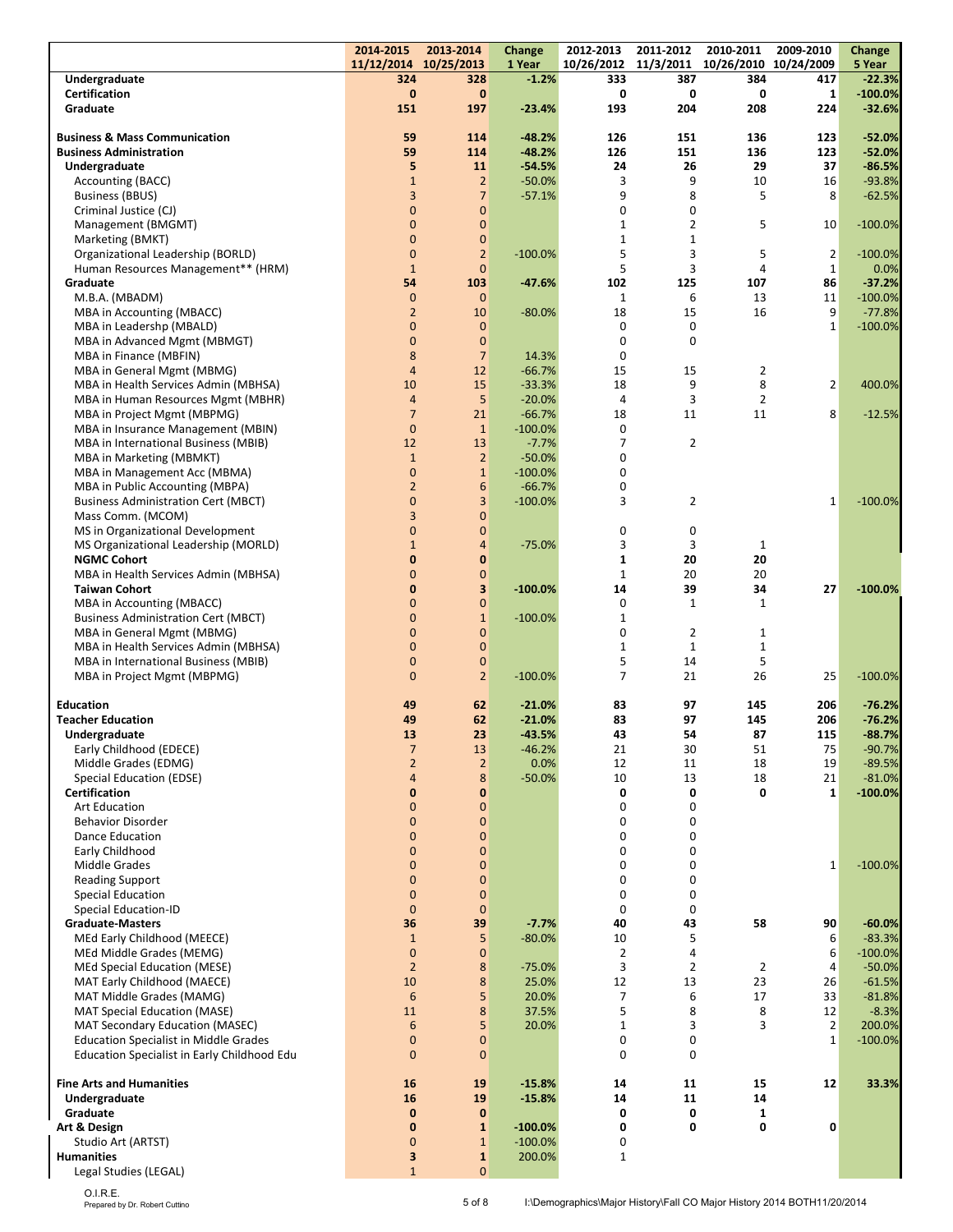|                                                    | 2014-2015<br>11/12/2014 10/25/2013 | 2013-2014      | Change<br>1 Year | 2012-2013      | 2011-2012      | 2010-2011<br>10/26/2012 11/3/2011 10/26/2010 10/24/2009 | 2009-2010      | Change<br>5 Year |
|----------------------------------------------------|------------------------------------|----------------|------------------|----------------|----------------|---------------------------------------------------------|----------------|------------------|
| Undergraduate                                      | 324                                | 328            | $-1.2%$          | 333            | 387            | 384                                                     | 417            | $-22.3%$         |
| <b>Certification</b>                               | $\bf{0}$                           | $\mathbf{0}$   |                  | 0              | 0              | 0                                                       | $\mathbf{1}$   | $-100.0%$        |
| Graduate                                           | 151                                | 197            | $-23.4%$         | 193            | 204            | 208                                                     | 224            | $-32.6%$         |
|                                                    |                                    |                |                  |                |                |                                                         |                |                  |
| <b>Business &amp; Mass Communication</b>           | 59                                 | 114            | $-48.2%$         | 126            | 151            | 136                                                     | 123            | $-52.0%$         |
| <b>Business Administration</b>                     | 59                                 | 114            | $-48.2%$         | 126            | 151            | 136                                                     | 123            | $-52.0%$         |
| Undergraduate                                      | 5                                  | 11             | $-54.5%$         | 24             | 26             | 29                                                      | 37             | $-86.5%$         |
| Accounting (BACC)                                  | $\mathbf{1}$                       | $\overline{2}$ | $-50.0%$         | 3              | 9              | 10                                                      | 16             | $-93.8%$         |
| <b>Business (BBUS)</b>                             | 3                                  | $\overline{7}$ | $-57.1%$         | 9              | 8              | 5                                                       | 8              | $-62.5%$         |
| Criminal Justice (CJ)                              | $\mathbf{0}$                       | $\mathbf 0$    |                  | 0              | 0              |                                                         |                |                  |
| Management (BMGMT)                                 | $\mathbf 0$                        | $\mathbf 0$    |                  | $\mathbf{1}$   | 2              | 5                                                       | 10             | $-100.0%$        |
| Marketing (BMKT)                                   | $\mathbf 0$                        | $\pmb{0}$      |                  | $\mathbf{1}$   | 1              |                                                         |                |                  |
| Organizational Leadership (BORLD)                  | $\overline{0}$                     | $\overline{2}$ | $-100.0%$        | 5              | 3              | 5                                                       | $\overline{2}$ | $-100.0%$        |
| Human Resources Management** (HRM)                 | $\mathbf{1}$                       | $\mathbf{0}$   |                  | 5              | 3              | 4                                                       | $1\,$          | 0.0%             |
| Graduate                                           | 54                                 | 103            | $-47.6%$         | 102            | 125            | 107                                                     | 86             | $-37.2%$         |
| M.B.A. (MBADM)                                     | $\mathbf{0}$                       | $\mathbf{0}$   |                  | $\mathbf{1}$   | 6              | 13                                                      | 11             | $-100.0%$        |
| MBA in Accounting (MBACC)                          | $\overline{2}$                     | 10             | $-80.0%$         | 18             | 15             | 16                                                      | 9              | $-77.8%$         |
| MBA in Leadershp (MBALD)                           | $\mathbf{0}$                       | $\mathbf{0}$   |                  | $\mathbf 0$    | 0              |                                                         | $\mathbf{1}$   | $-100.0%$        |
| MBA in Advanced Mgmt (MBMGT)                       | $\mathbf 0$                        | $\mathbf{0}$   |                  | 0              | 0              |                                                         |                |                  |
| <b>MBA in Finance (MBFIN)</b>                      | 8                                  | $\overline{7}$ | 14.3%            | 0              |                |                                                         |                |                  |
| MBA in General Mgmt (MBMG)                         | $\overline{4}$                     | 12             | $-66.7%$         | 15             | 15             | $\overline{2}$                                          |                |                  |
| MBA in Health Services Admin (MBHSA)               | 10                                 | 15             | $-33.3%$         | 18             | 9              | 8                                                       | 2              | 400.0%           |
| MBA in Human Resources Mgmt (MBHR)                 | $\overline{4}$                     | 5              | $-20.0%$         | 4              | 3              | $\overline{2}$                                          |                |                  |
| MBA in Project Mgmt (MBPMG)                        | $\overline{7}$                     | 21             | $-66.7%$         | 18             | 11             | 11                                                      | 8              | $-12.5%$         |
|                                                    | $\mathbf{0}$                       |                |                  |                |                |                                                         |                |                  |
| MBA in Insurance Management (MBIN)                 |                                    | $\mathbf{1}$   | $-100.0%$        | 0              |                |                                                         |                |                  |
| MBA in International Business (MBIB)               | 12                                 | 13             | $-7.7%$          | $\overline{7}$ | $\overline{2}$ |                                                         |                |                  |
| <b>MBA in Marketing (MBMKT)</b>                    | $\mathbf{1}$                       | $\overline{2}$ | $-50.0%$         | 0              |                |                                                         |                |                  |
| MBA in Management Acc (MBMA)                       | $\mathbf 0$                        | $\mathbf{1}$   | $-100.0%$        | 0              |                |                                                         |                |                  |
| MBA in Public Accounting (MBPA)                    | $\overline{2}$                     | 6              | $-66.7%$         | 0              |                |                                                         |                |                  |
| <b>Business Administration Cert (MBCT)</b>         | $\mathbf 0$                        | 3              | $-100.0%$        | 3              | 2              |                                                         | $\mathbf{1}$   | $-100.0%$        |
| Mass Comm. (MCOM)                                  | 3                                  | $\mathbf 0$    |                  |                |                |                                                         |                |                  |
| MS in Organizational Development                   | $\mathbf 0$                        | $\mathbf 0$    |                  | 0              | 0              |                                                         |                |                  |
| MS Organizational Leadership (MORLD)               | $\mathbf{1}$                       | $\overline{4}$ | $-75.0%$         | 3              | 3              | 1                                                       |                |                  |
| <b>NGMC Cohort</b>                                 | $\mathbf{0}$                       | 0              |                  | $\mathbf{1}$   | 20             | 20                                                      |                |                  |
| MBA in Health Services Admin (MBHSA)               | $\overline{0}$                     | $\mathbf 0$    |                  | $\mathbf{1}$   | 20             | 20                                                      |                |                  |
| <b>Taiwan Cohort</b>                               | $\mathbf{0}$                       | 3              | $-100.0%$        | 14             | 39             | 34                                                      | 27             | $-100.0%$        |
| MBA in Accounting (MBACC)                          | $\mathbf 0$                        | $\mathbf{0}$   |                  | 0              | $\mathbf{1}$   | 1                                                       |                |                  |
| <b>Business Administration Cert (MBCT)</b>         | $\overline{0}$                     | $\mathbf{1}$   | $-100.0%$        | $\mathbf{1}$   |                |                                                         |                |                  |
| MBA in General Mgmt (MBMG)                         | $\mathbf 0$                        | $\mathbf{0}$   |                  | 0              | $\overline{2}$ | 1                                                       |                |                  |
| MBA in Health Services Admin (MBHSA)               | $\mathbf 0$                        | $\mathbf 0$    |                  | $\mathbf{1}$   | $\mathbf{1}$   | $\mathbf{1}$                                            |                |                  |
| MBA in International Business (MBIB)               | $\mathbf 0$                        | $\mathbf 0$    |                  | 5              | 14             | 5                                                       |                |                  |
| MBA in Project Mgmt (MBPMG)                        | $\overline{0}$                     | $\overline{2}$ | $-100.0%$        | $\overline{7}$ | 21             | 26                                                      | 25             | $-100.0%$        |
|                                                    |                                    |                |                  |                |                |                                                         |                |                  |
| <b>Education</b>                                   | 49                                 | 62             | $-21.0%$         | 83             | 97             | 145                                                     | 206            | $-76.2%$         |
| <b>Teacher Education</b>                           | 49                                 | 62             | $-21.0%$         | 83             | 97             | 145                                                     | 206            | $-76.2%$         |
| Undergraduate                                      | 13                                 | 23             | $-43.5%$         | 43             | 54             | 87                                                      | 115            | $-88.7%$         |
| Early Childhood (EDECE)                            | 7                                  | 13             | $-46.2%$         | 21             | 30             | 51                                                      | 75             | $-90.7%$         |
| Middle Grades (EDMG)                               | $\overline{2}$                     | $\overline{2}$ | 0.0%             | 12             | 11             | 18                                                      | 19             | $-89.5%$         |
| <b>Special Education (EDSE)</b>                    | $\overline{4}$                     | 8              | $-50.0%$         | 10             | 13             | 18                                                      | 21             | $-81.0%$         |
| Certification                                      | $\bf{0}$                           | 0              |                  | 0              | 0              | 0                                                       | 1              | $-100.0%$        |
| <b>Art Education</b>                               | $\overline{0}$                     | $\mathbf 0$    |                  | 0              | 0              |                                                         |                |                  |
|                                                    |                                    |                |                  |                |                |                                                         |                |                  |
| <b>Behavior Disorder</b>                           | $\overline{0}$                     | $\overline{0}$ |                  | $\mathbf 0$    | 0              |                                                         |                |                  |
| Dance Education                                    | $\mathbf 0$                        | $\mathbf 0$    |                  | 0              | 0              |                                                         |                |                  |
| Early Childhood                                    | $\overline{0}$                     | $\mathbf 0$    |                  | 0              | 0              |                                                         |                |                  |
| Middle Grades                                      | $\mathbf 0$                        | $\mathbf 0$    |                  | 0              | 0              |                                                         | $1\,$          | $-100.0%$        |
| <b>Reading Support</b>                             | $\mathbf 0$                        | $\mathbf 0$    |                  | 0              | 0              |                                                         |                |                  |
| <b>Special Education</b>                           | $\mathbf 0$                        | $\mathbf{0}$   |                  | $\mathbf 0$    | 0              |                                                         |                |                  |
| <b>Special Education-ID</b>                        | $\mathbf{0}$                       | $\mathbf{0}$   |                  | 0              | 0              |                                                         |                |                  |
| <b>Graduate-Masters</b>                            | 36                                 | 39             | $-7.7%$          | 40             | 43             | 58                                                      | 90             | $-60.0%$         |
| MEd Early Childhood (MEECE)                        | $\mathbf{1}$                       | 5              | $-80.0%$         | 10             | 5              |                                                         | 6              | $-83.3%$         |
| MEd Middle Grades (MEMG)                           | $\mathbf{0}$                       | $\mathbf{0}$   |                  | $\overline{2}$ | 4              |                                                         | 6              | $-100.0%$        |
| <b>MEd Special Education (MESE)</b>                | $\overline{2}$                     | 8              | $-75.0%$         | 3              | $\overline{2}$ | $\overline{2}$                                          | 4              | $-50.0%$         |
| MAT Early Childhood (MAECE)                        | 10                                 | 8              | 25.0%            | 12             | 13             | 23                                                      | 26             | $-61.5%$         |
| MAT Middle Grades (MAMG)                           | 6                                  | 5              | 20.0%            | 7              | 6              | 17                                                      | 33             | $-81.8%$         |
| <b>MAT Special Education (MASE)</b>                | 11                                 | 8              | 37.5%            | 5              | 8              | 8                                                       | 12             | $-8.3%$          |
| MAT Secondary Education (MASEC)                    | $6\phantom{1}$                     | 5              | 20.0%            | $\mathbf{1}$   | 3              | 3                                                       | $\overline{2}$ | 200.0%           |
| <b>Education Specialist in Middle Grades</b>       | $\mathbf 0$                        | $\mathbf{0}$   |                  | 0              | 0              |                                                         | $\mathbf{1}$   | $-100.0%$        |
| <b>Education Specialist in Early Childhood Edu</b> | $\Omega$                           | $\mathbf{0}$   |                  | $\mathbf 0$    | 0              |                                                         |                |                  |
|                                                    |                                    |                |                  |                |                |                                                         |                |                  |
| <b>Fine Arts and Humanities</b>                    | 16                                 | 19             | $-15.8%$         | 14             | 11             | 15                                                      | 12             | 33.3%            |
| Undergraduate                                      | 16                                 | 19             | $-15.8%$         | 14             | 11             | 14                                                      |                |                  |
|                                                    |                                    |                |                  |                |                |                                                         |                |                  |
| Graduate                                           | $\mathbf{0}$                       | $\bf{0}$       |                  | 0              | 0<br>0         | $\mathbf{1}$<br>0                                       |                |                  |
| Art & Design                                       | 0                                  | $\mathbf{1}$   | $-100.0%$        | 0              |                |                                                         | 0              |                  |
| Studio Art (ARTST)                                 | $\mathbf 0$                        | $\mathbf{1}$   | $-100.0%$        | 0              |                |                                                         |                |                  |
| <b>Humanities</b>                                  | 3                                  | $\mathbf{1}$   | 200.0%           | $\mathbf{1}$   |                |                                                         |                |                  |
| Legal Studies (LEGAL)                              | $\mathbf{1}$                       | $\overline{0}$ |                  |                |                |                                                         |                |                  |

 $\overline{a}$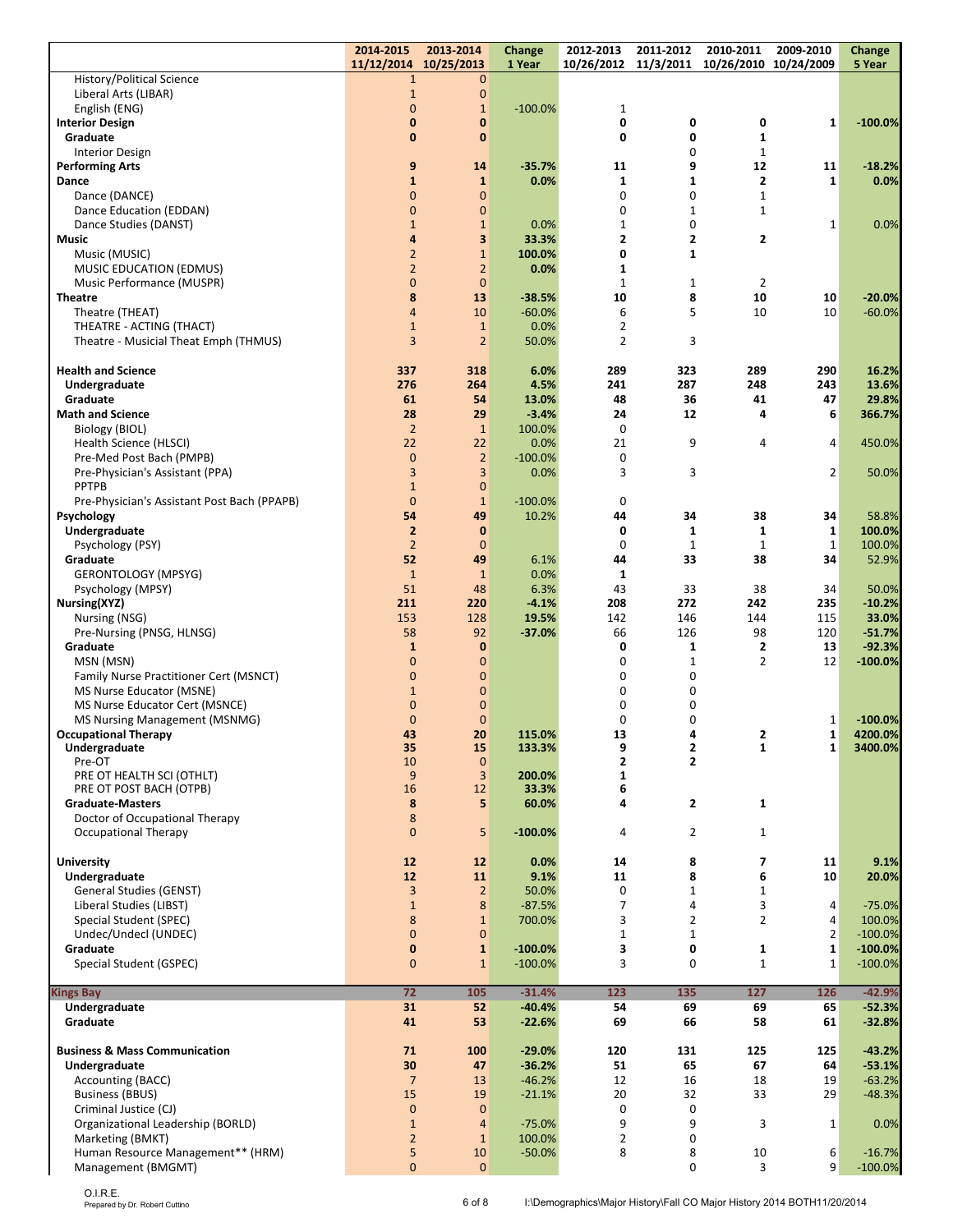|                                                             | 2014-2015                             | 2013-2014                      | <b>Change</b>      | 2012-2013           | 2011-2012                               | 2010-2011                                  | 2009-2010           | <b>Change</b>          |
|-------------------------------------------------------------|---------------------------------------|--------------------------------|--------------------|---------------------|-----------------------------------------|--------------------------------------------|---------------------|------------------------|
| <b>History/Political Science</b>                            | 11/12/2014 10/25/2013<br>$\mathbf{1}$ | $\overline{0}$                 | 1 Year             |                     |                                         | 10/26/2012 11/3/2011 10/26/2010 10/24/2009 |                     | 5 Year                 |
| Liberal Arts (LIBAR)                                        | $\mathbf{1}$                          | $\pmb{0}$                      |                    |                     |                                         |                                            |                     |                        |
| English (ENG)                                               | $\mathbf{0}$                          | $1\,$                          | $-100.0%$          | 1                   |                                         |                                            |                     |                        |
| <b>Interior Design</b>                                      | 0                                     | 0                              |                    | 0                   | 0                                       | 0                                          | 1                   | $-100.0%$              |
| Graduate                                                    | $\mathbf{0}$                          | $\bf{0}$                       |                    | 0                   | 0                                       | $\mathbf{1}$                               |                     |                        |
| <b>Interior Design</b>                                      |                                       |                                |                    |                     | 0                                       | $\mathbf 1$                                |                     |                        |
| <b>Performing Arts</b><br>Dance                             | 9<br>$\mathbf{1}$                     | 14<br>$\mathbf{1}$             | $-35.7%$<br>0.0%   | 11<br>$\mathbf{1}$  | 9<br>1                                  | 12<br>2                                    | 11<br>1             | $-18.2%$<br>0.0%       |
| Dance (DANCE)                                               | $\overline{0}$                        | $\overline{0}$                 |                    | $\mathbf 0$         | 0                                       | $\mathbf{1}$                               |                     |                        |
| Dance Education (EDDAN)                                     | $\mathbf{0}$                          | $\overline{0}$                 |                    | 0                   | $\mathbf{1}$                            | $\mathbf{1}$                               |                     |                        |
| Dance Studies (DANST)                                       | $\mathbf{1}$                          | $\mathbf{1}$                   | 0.0%               | $\mathbf{1}$        | 0                                       |                                            | 1                   | 0.0%                   |
| Music                                                       | $\overline{4}$                        | 3                              | 33.3%              | 2                   | 2                                       | 2                                          |                     |                        |
| Music (MUSIC)                                               | $\overline{2}$<br>$\overline{2}$      | $\mathbf{1}$<br>$\overline{2}$ | 100.0%             | 0<br>$\mathbf{1}$   | $\mathbf{1}$                            |                                            |                     |                        |
| <b>MUSIC EDUCATION (EDMUS)</b><br>Music Performance (MUSPR) | $\overline{0}$                        | $\mathbf{0}$                   | 0.0%               | $\mathbf{1}$        | $\mathbf{1}$                            | $\overline{2}$                             |                     |                        |
| <b>Theatre</b>                                              | 8                                     | 13                             | $-38.5%$           | 10                  | 8                                       | 10                                         | 10                  | $-20.0%$               |
| Theatre (THEAT)                                             | $\overline{4}$                        | 10                             | $-60.0%$           | 6                   | 5                                       | 10                                         | 10                  | $-60.0%$               |
| THEATRE - ACTING (THACT)                                    | $\mathbf{1}$                          | $\mathbf{1}$                   | 0.0%               | 2                   |                                         |                                            |                     |                        |
| Theatre - Musicial Theat Emph (THMUS)                       | $\overline{3}$                        | $\overline{2}$                 | 50.0%              | $\overline{2}$      | 3                                       |                                            |                     |                        |
| <b>Health and Science</b>                                   | 337                                   | 318                            | 6.0%               | 289                 | 323                                     | 289                                        | 290                 | 16.2%                  |
| Undergraduate                                               | 276                                   | 264                            | 4.5%               | 241                 | 287                                     | 248                                        | 243                 | 13.6%                  |
| Graduate                                                    | 61                                    | 54                             | 13.0%              | 48                  | 36                                      | 41                                         | 47                  | 29.8%                  |
| <b>Math and Science</b>                                     | 28                                    | 29                             | $-3.4%$            | 24                  | 12                                      | 4                                          | 6                   | 366.7%                 |
| Biology (BIOL)                                              | $\overline{2}$                        | $\mathbf{1}$                   | 100.0%             | 0                   |                                         |                                            |                     |                        |
| Health Science (HLSCI)                                      | 22                                    | 22                             | 0.0%               | 21                  | 9                                       | $\overline{4}$                             | 4                   | 450.0%                 |
| Pre-Med Post Bach (PMPB)<br>Pre-Physician's Assistant (PPA) | $\overline{0}$<br>3                   | $\overline{2}$<br>3            | $-100.0%$<br>0.0%  | 0<br>3              | 3                                       |                                            | 2                   | 50.0%                  |
| <b>PPTPB</b>                                                | $\mathbf{1}$                          | $\mathbf{0}$                   |                    |                     |                                         |                                            |                     |                        |
| Pre-Physician's Assistant Post Bach (PPAPB)                 | $\overline{0}$                        | $\mathbf{1}$                   | $-100.0%$          | 0                   |                                         |                                            |                     |                        |
| Psychology                                                  | 54                                    | 49                             | 10.2%              | 44                  | 34                                      | 38                                         | 34                  | 58.8%                  |
| Undergraduate                                               | $\overline{2}$                        | $\bf{0}$                       |                    | 0                   | 1                                       | $\mathbf{1}$                               | $\mathbf 1$         | 100.0%                 |
| Psychology (PSY)                                            | $\overline{2}$                        | $\mathbf{0}$                   |                    | 0                   | 1                                       | 1                                          | $\mathbf{1}$        | 100.0%                 |
| Graduate                                                    | 52<br>$\mathbf{1}$                    | 49<br>$\mathbf{1}$             | 6.1%<br>0.0%       | 44                  | 33                                      | 38                                         | 34                  | 52.9%                  |
| GERONTOLOGY (MPSYG)<br>Psychology (MPSY)                    | 51                                    | 48                             | 6.3%               | 1<br>43             | 33                                      | 38                                         | 34                  | 50.0%                  |
| Nursing(XYZ)                                                | 211                                   | 220                            | $-4.1%$            | 208                 | 272                                     | 242                                        | 235                 | $-10.2%$               |
| Nursing (NSG)                                               | 153                                   | 128                            | 19.5%              | 142                 | 146                                     | 144                                        | 115                 | 33.0%                  |
| Pre-Nursing (PNSG, HLNSG)                                   | 58                                    | 92                             | $-37.0%$           | 66                  | 126                                     | 98                                         | 120                 | $-51.7%$               |
| Graduate                                                    | $\mathbf{1}$                          | $\mathbf{0}$                   |                    | 0                   | 1                                       | 2                                          | 13                  | $-92.3%$               |
| MSN (MSN)<br>Family Nurse Practitioner Cert (MSNCT)         | $\overline{0}$<br>$\mathbf{0}$        | $\overline{0}$<br>0            |                    | 0<br>0              | $\mathbf{1}$<br>0                       | $\overline{2}$                             | 12                  | $-100.0%$              |
| MS Nurse Educator (MSNE)                                    | $\mathbf{1}$                          | $\overline{0}$                 |                    | 0                   | 0                                       |                                            |                     |                        |
| MS Nurse Educator Cert (MSNCE)                              | $\overline{0}$                        | $\mathbf{0}$                   |                    | 0                   | 0                                       |                                            |                     |                        |
| MS Nursing Management (MSNMG)                               | $\mathbf{0}$                          | $\mathbf{0}$                   |                    | 0                   | 0                                       |                                            | 1                   | $-100.0%$              |
| <b>Occupational Therapy</b>                                 | 43                                    | 20                             | 115.0%             | 13                  | 4                                       | 2                                          | 1                   | 4200.0%                |
| Undergraduate<br>Pre-OT                                     | 35<br>10                              | 15<br>$\mathbf{0}$             | 133.3%             | 9<br>$\overline{2}$ | $\mathbf{2}$<br>$\overline{\mathbf{c}}$ | $\mathbf{1}$                               | 1                   | 3400.0%                |
| PRE OT HEALTH SCI (OTHLT)                                   | 9                                     | 3                              | 200.0%             | $\mathbf{1}$        |                                         |                                            |                     |                        |
| PRE OT POST BACH (OTPB)                                     | 16                                    | 12                             | 33.3%              | 6                   |                                         |                                            |                     |                        |
| <b>Graduate-Masters</b>                                     | 8                                     | 5                              | 60.0%              | 4                   | $\mathbf{2}$                            | $\mathbf{1}$                               |                     |                        |
| Doctor of Occupational Therapy                              | 8                                     |                                |                    |                     |                                         |                                            |                     |                        |
| Occupational Therapy                                        | $\overline{0}$                        | 5                              | $-100.0\%$         | 4                   | $\overline{2}$                          | $\mathbf{1}$                               |                     |                        |
| <b>University</b>                                           | 12                                    | 12                             | 0.0%               | 14                  | 8                                       | 7                                          | 11                  | 9.1%                   |
| Undergraduate                                               | 12                                    | 11                             | 9.1%               | 11                  | 8                                       | 6                                          | 10                  | 20.0%                  |
| <b>General Studies (GENST)</b>                              | $\overline{3}$                        | $\overline{2}$                 | 50.0%              | 0                   | $\mathbf{1}$                            | $\mathbf{1}$                               |                     |                        |
| Liberal Studies (LIBST)                                     | $\mathbf{1}$                          | 8                              | $-87.5%$           | $\overline{7}$      | 4                                       | 3                                          | 4                   | $-75.0%$               |
| Special Student (SPEC)                                      | 8                                     | $\mathbf{1}$                   | 700.0%             | 3                   | $\overline{2}$                          | $\overline{2}$                             | 4                   | 100.0%                 |
| Undec/Undecl (UNDEC)<br>Graduate                            | $\overline{0}$<br>$\mathbf 0$         | $\mathbf 0$<br>$\mathbf{1}$    | $-100.0%$          | $\mathbf{1}$<br>3   | $\mathbf{1}$<br>0                       | 1                                          | $\overline{2}$<br>1 | $-100.0%$<br>$-100.0%$ |
| Special Student (GSPEC)                                     | $\overline{0}$                        | $\mathbf{1}$                   | $-100.0\%$         | 3                   | 0                                       | $\mathbf{1}$                               | $\mathbf{1}$        | $-100.0%$              |
|                                                             |                                       |                                |                    |                     |                                         |                                            |                     |                        |
| <b>Kings Bay</b>                                            | $\overline{72}$                       | 105                            | $-31.4%$           | 123                 | 135                                     | $\overline{127}$                           | 126                 | $-42.9%$               |
| Undergraduate                                               | 31                                    | 52                             | $-40.4%$           | 54                  | 69                                      | 69                                         | 65                  | $-52.3%$               |
| Graduate                                                    | 41                                    | 53                             | $-22.6%$           | 69                  | 66                                      | 58                                         | 61                  | $-32.8%$               |
| <b>Business &amp; Mass Communication</b>                    | 71                                    | 100                            | $-29.0%$           | 120                 | 131                                     | 125                                        | 125                 | $-43.2%$               |
| Undergraduate                                               | 30                                    | 47                             | $-36.2%$           | 51                  | 65                                      | 67                                         | 64                  | $-53.1%$               |
| Accounting (BACC)                                           | $\overline{7}$                        | 13                             | $-46.2%$           | 12                  | 16                                      | 18                                         | 19                  | $-63.2%$               |
| <b>Business (BBUS)</b>                                      | 15                                    | 19                             | $-21.1%$           | 20                  | 32                                      | 33                                         | 29                  | $-48.3%$               |
| Criminal Justice (CJ)                                       | $\mathbf{0}$                          | $\mathbf{0}$<br>$\overline{4}$ |                    | 0<br>9              | $\mathbf 0$<br>9                        | 3                                          |                     |                        |
| Organizational Leadership (BORLD)<br>Marketing (BMKT)       | $\mathbf{1}$<br>$\overline{2}$        | $\mathbf{1}$                   | $-75.0%$<br>100.0% | $\overline{2}$      | 0                                       |                                            | $\mathbf{1}$        | 0.0%                   |
| Human Resource Management** (HRM)                           | 5                                     | 10                             | $-50.0%$           | 8                   | 8                                       | 10                                         | 6                   | $-16.7%$               |
| Management (BMGMT)                                          | $\mathbf 0$                           | $\mathbf{0}$                   |                    |                     | 0                                       | 3                                          | 9                   | $-100.0%$              |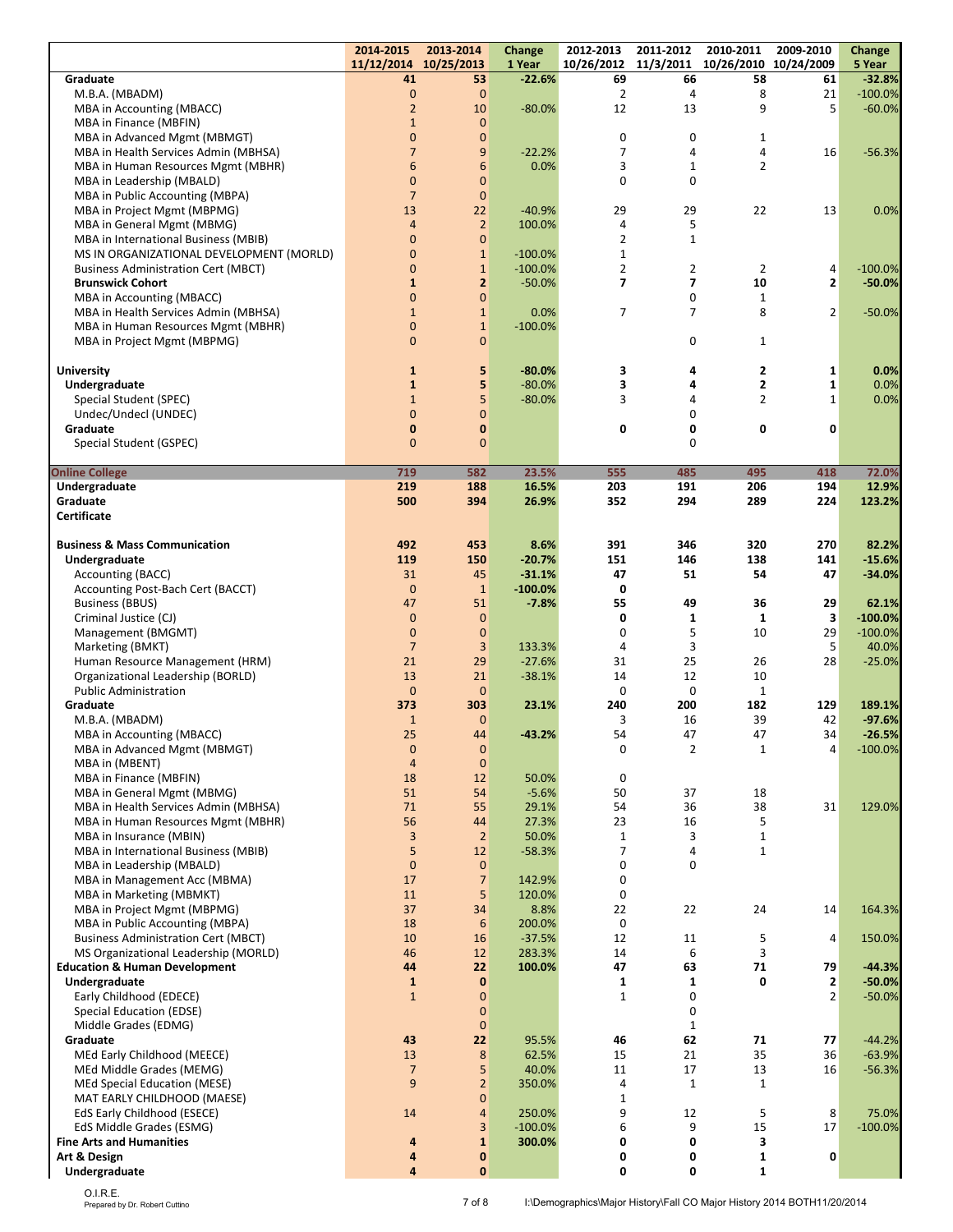|                                                                            | 2014-2015<br>11/12/2014 10/25/2013 | 2013-2014                      | Change                | 2012-2013<br>10/26/2012          | 2011-2012<br>11/3/2011    | 2010-2011<br>10/26/2010 | 2009-2010        | Change                |
|----------------------------------------------------------------------------|------------------------------------|--------------------------------|-----------------------|----------------------------------|---------------------------|-------------------------|------------------|-----------------------|
| Graduate                                                                   | 41                                 | 53                             | 1 Year<br>$-22.6%$    | 69                               | 66                        | 58                      | 10/24/2009<br>61 | 5 Year<br>$-32.8%$    |
| M.B.A. (MBADM)                                                             | $\pmb{0}$                          | $\overline{0}$                 |                       | $\overline{2}$                   | 4                         | 8                       | 21               | $-100.0%$             |
| MBA in Accounting (MBACC)                                                  | $\overline{2}$                     | 10                             | $-80.0%$              | 12                               | 13                        | 9                       | 5                | $-60.0%$              |
| MBA in Finance (MBFIN)                                                     | $\mathbf{1}$                       | $\mathbf{0}$                   |                       |                                  |                           |                         |                  |                       |
| MBA in Advanced Mgmt (MBMGT)                                               | $\mathbf 0$                        | $\mathbf{0}$                   |                       | 0                                | 0                         | 1                       |                  |                       |
| MBA in Health Services Admin (MBHSA)<br>MBA in Human Resources Mgmt (MBHR) | $\overline{7}$<br>$6\phantom{1}$   | 9<br>6                         | $-22.2%$<br>0.0%      | $\overline{7}$<br>3              | 4<br>1                    | 4<br>$\overline{2}$     | 16               | $-56.3%$              |
| MBA in Leadership (MBALD)                                                  | $\mathbf{0}$                       | $\mathbf{0}$                   |                       | $\mathbf 0$                      | 0                         |                         |                  |                       |
| MBA in Public Accounting (MBPA)                                            | $\overline{7}$                     | $\mathbf{0}$                   |                       |                                  |                           |                         |                  |                       |
| MBA in Project Mgmt (MBPMG)                                                | 13                                 | 22                             | $-40.9%$              | 29                               | 29                        | 22                      | 13               | 0.0%                  |
| MBA in General Mgmt (MBMG)                                                 | $\overline{4}$                     | $\overline{2}$                 | 100.0%                | 4                                | 5                         |                         |                  |                       |
| MBA in International Business (MBIB)                                       | $\mathbf{0}$                       | $\mathbf{0}$                   |                       | $\overline{2}$                   | $\mathbf{1}$              |                         |                  |                       |
| MS IN ORGANIZATIONAL DEVELOPMENT (MORLD)                                   | $\mathbf{0}$                       | $\mathbf{1}$                   | $-100.0%$             | $\mathbf{1}$                     |                           |                         |                  |                       |
| <b>Business Administration Cert (MBCT)</b><br><b>Brunswick Cohort</b>      | $\mathbf{0}$<br>$\mathbf{1}$       | $\mathbf{1}$<br>$\overline{2}$ | $-100.0%$<br>$-50.0%$ | $\overline{2}$<br>$\overline{7}$ | 2<br>$\overline{7}$       | 2<br>10                 | 4<br>2           | $-100.0%$<br>$-50.0%$ |
| MBA in Accounting (MBACC)                                                  | $\overline{0}$                     | $\mathbf{0}$                   |                       |                                  | 0                         | $\mathbf{1}$            |                  |                       |
| MBA in Health Services Admin (MBHSA)                                       | $\mathbf{1}$                       | $\mathbf{1}$                   | 0.0%                  | 7                                | $\overline{7}$            | 8                       | 2                | $-50.0%$              |
| MBA in Human Resources Mgmt (MBHR)                                         | $\overline{0}$                     | $\mathbf{1}$                   | $-100.0%$             |                                  |                           |                         |                  |                       |
| MBA in Project Mgmt (MBPMG)                                                | $\mathbf{0}$                       | $\overline{0}$                 |                       |                                  | 0                         | $\mathbf{1}$            |                  |                       |
|                                                                            | $\mathbf{1}$                       | 5                              | $-80.0%$              |                                  | 4                         | $\overline{\mathbf{2}}$ |                  |                       |
| <b>University</b><br>Undergraduate                                         | $\mathbf{1}$                       | 5                              | $-80.0%$              | 3<br>3                           | 4                         | $\overline{\mathbf{2}}$ | 1<br>1           | 0.0%<br>0.0%          |
| Special Student (SPEC)                                                     | $\mathbf{1}$                       | 5                              | $-80.0%$              | 3                                | 4                         | $\overline{2}$          | $\mathbf{1}$     | 0.0%                  |
| Undec/Undecl (UNDEC)                                                       | $\overline{0}$                     | $\mathbf{0}$                   |                       |                                  | 0                         |                         |                  |                       |
| Graduate                                                                   | $\mathbf{0}$                       | $\bf{0}$                       |                       | 0                                | 0                         | $\mathbf 0$             | 0                |                       |
| Special Student (GSPEC)                                                    | $\mathbf{0}$                       | $\overline{0}$                 |                       |                                  | 0                         |                         |                  |                       |
| <b>Online College</b>                                                      | 719                                | 582                            | 23.5%                 | 555                              | 485                       | 495                     | 418              | 72.0%                 |
| Undergraduate                                                              | 219                                | 188                            | 16.5%                 | 203                              | 191                       | 206                     | 194              | 12.9%                 |
| Graduate                                                                   | 500                                | 394                            | 26.9%                 | 352                              | 294                       | 289                     | 224              | 123.2%                |
| Certificate                                                                |                                    |                                |                       |                                  |                           |                         |                  |                       |
| <b>Business &amp; Mass Communication</b>                                   | 492                                | 453                            | 8.6%                  | 391                              | 346                       | 320                     | 270              | 82.2%                 |
| Undergraduate                                                              | 119                                | 150                            | $-20.7%$              | 151                              | 146                       | 138                     | 141              | $-15.6%$              |
| Accounting (BACC)                                                          | 31                                 | 45                             | $-31.1%$              | 47                               | 51                        | 54                      | 47               | $-34.0%$              |
| Accounting Post-Bach Cert (BACCT)                                          | $\mathbf{0}$                       | $\mathbf{1}$                   | $-100.0%$             | 0                                |                           |                         |                  |                       |
| <b>Business (BBUS)</b>                                                     | 47                                 | 51                             | $-7.8%$               | 55                               | 49                        | 36                      | 29               | 62.1%                 |
| Criminal Justice (CJ)                                                      | $\mathbf{0}$                       | $\mathbf{0}$                   |                       | 0                                | 1                         | $\mathbf{1}$            | 3                | $-100.0%$             |
| Management (BMGMT)                                                         | $\mathbf{0}$<br>$\overline{7}$     | $\mathbf{0}$<br>3              | 133.3%                | 0<br>4                           | 5<br>3                    | 10                      | 29<br>5          | $-100.0%$<br>40.0%    |
| Marketing (BMKT)<br>Human Resource Management (HRM)                        | 21                                 | 29                             | $-27.6%$              | 31                               | 25                        | 26                      | 28               | $-25.0%$              |
| Organizational Leadership (BORLD)                                          | 13                                 | 21                             | $-38.1%$              | 14                               | 12                        | 10                      |                  |                       |
| <b>Public Administration</b>                                               | $\mathbf{0}$                       | $\Omega$                       |                       | $\mathbf 0$                      | 0                         | $\mathbf 1$             |                  |                       |
| Graduate                                                                   | 373                                | 303                            | 23.1%                 | 240                              | 200                       | 182                     | 129              | 189.1%                |
| M.B.A. (MBADM)                                                             | $\mathbf{1}$                       | $\mathbf{0}$                   |                       | 3                                | 16                        | 39                      | 42               | $-97.6%$              |
| MBA in Accounting (MBACC)                                                  | 25                                 | 44                             | $-43.2%$              | 54                               | 47                        | 47                      | 34               | $-26.5%$              |
| MBA in Advanced Mgmt (MBMGT)<br>MBA in (MBENT)                             | $\pmb{0}$<br>$\overline{4}$        | $\overline{0}$<br>$\mathbf{0}$ |                       | 0                                | $\overline{2}$            | $\mathbf 1$             | 4                | $-100.0%$             |
| MBA in Finance (MBFIN)                                                     | 18                                 | 12                             | 50.0%                 | 0                                |                           |                         |                  |                       |
| MBA in General Mgmt (MBMG)                                                 | 51                                 | 54                             | $-5.6%$               | 50                               | 37                        | 18                      |                  |                       |
| MBA in Health Services Admin (MBHSA)                                       | 71                                 | 55                             | 29.1%                 | 54                               | 36                        | 38                      | 31               | 129.0%                |
| MBA in Human Resources Mgmt (MBHR)                                         | 56                                 | 44                             | 27.3%                 | 23                               | 16                        | 5                       |                  |                       |
| MBA in Insurance (MBIN)                                                    | $\overline{3}$                     | $\overline{2}$                 | 50.0%                 | $\mathbf{1}$                     | 3                         | $\mathbf{1}$            |                  |                       |
| MBA in International Business (MBIB)                                       | 5                                  | 12                             | $-58.3%$              | 7                                | 4                         | $\mathbf{1}$            |                  |                       |
| MBA in Leadership (MBALD)                                                  | $\mathbf 0$<br>17                  | $\mathbf 0$<br>$\overline{7}$  |                       | $\pmb{0}$<br>0                   | 0                         |                         |                  |                       |
| MBA in Management Acc (MBMA)<br>MBA in Marketing (MBMKT)                   | 11                                 | 5                              | 142.9%<br>120.0%      | $\mathbf 0$                      |                           |                         |                  |                       |
| MBA in Project Mgmt (MBPMG)                                                | 37                                 | 34                             | 8.8%                  | 22                               | 22                        | 24                      | 14               | 164.3%                |
| MBA in Public Accounting (MBPA)                                            | 18                                 | $6\phantom{1}6$                | 200.0%                | $\pmb{0}$                        |                           |                         |                  |                       |
| <b>Business Administration Cert (MBCT)</b>                                 | 10                                 | 16                             | $-37.5%$              | 12                               | 11                        | 5                       | 4                | 150.0%                |
| MS Organizational Leadership (MORLD)                                       | 46                                 | 12                             | 283.3%                | 14                               | 6                         | 3                       |                  |                       |
| <b>Education &amp; Human Development</b>                                   | 44                                 | 22                             | 100.0%                | 47                               | 63                        | 71                      | 79               | $-44.3%$              |
| Undergraduate                                                              | $\mathbf 1$                        | $\mathbf{0}$                   |                       | 1                                | $\mathbf{1}$              | 0                       | $\mathbf{2}$     | $-50.0%$              |
| Early Childhood (EDECE)                                                    | $\mathbf{1}$                       | $\mathbf{0}$                   |                       | $\mathbf{1}$                     | 0                         |                         | $\overline{2}$   | $-50.0%$              |
| Special Education (EDSE)<br>Middle Grades (EDMG)                           |                                    | $\overline{0}$<br>$\mathbf{0}$ |                       |                                  | $\pmb{0}$<br>$\mathbf{1}$ |                         |                  |                       |
| Graduate                                                                   | 43                                 | 22                             | 95.5%                 | 46                               | 62                        | 71                      | 77               | $-44.2%$              |
| MEd Early Childhood (MEECE)                                                | 13                                 | 8                              | 62.5%                 | 15                               | 21                        | 35                      | 36               | $-63.9%$              |
| MEd Middle Grades (MEMG)                                                   | $\overline{7}$                     | 5                              | 40.0%                 | 11                               | 17                        | 13                      | 16               | $-56.3%$              |
| <b>MEd Special Education (MESE)</b>                                        | 9                                  | $\overline{2}$                 | 350.0%                | 4                                | $\mathbf{1}$              | $\mathbf{1}$            |                  |                       |
| MAT EARLY CHILDHOOD (MAESE)                                                |                                    | $\overline{0}$                 |                       | $\mathbf{1}$                     |                           |                         |                  |                       |
| EdS Early Childhood (ESECE)                                                | 14                                 | $\overline{4}$                 | 250.0%                | 9                                | 12                        | 5                       | 8                | 75.0%                 |
| EdS Middle Grades (ESMG)                                                   |                                    | 3                              | $-100.0%$             | 6                                | 9                         | 15                      | 17               | $-100.0%$             |
| <b>Fine Arts and Humanities</b><br>Art & Design                            | 4<br>4                             | 1<br>0                         | 300.0%                | 0<br>0                           | 0<br>0                    | 3<br>1                  | 0                |                       |
| Undergraduate                                                              | $\overline{\mathbf{a}}$            | $\mathbf{0}$                   |                       | 0                                | 0                         | $\mathbf{1}$            |                  |                       |

 $\overline{a}$